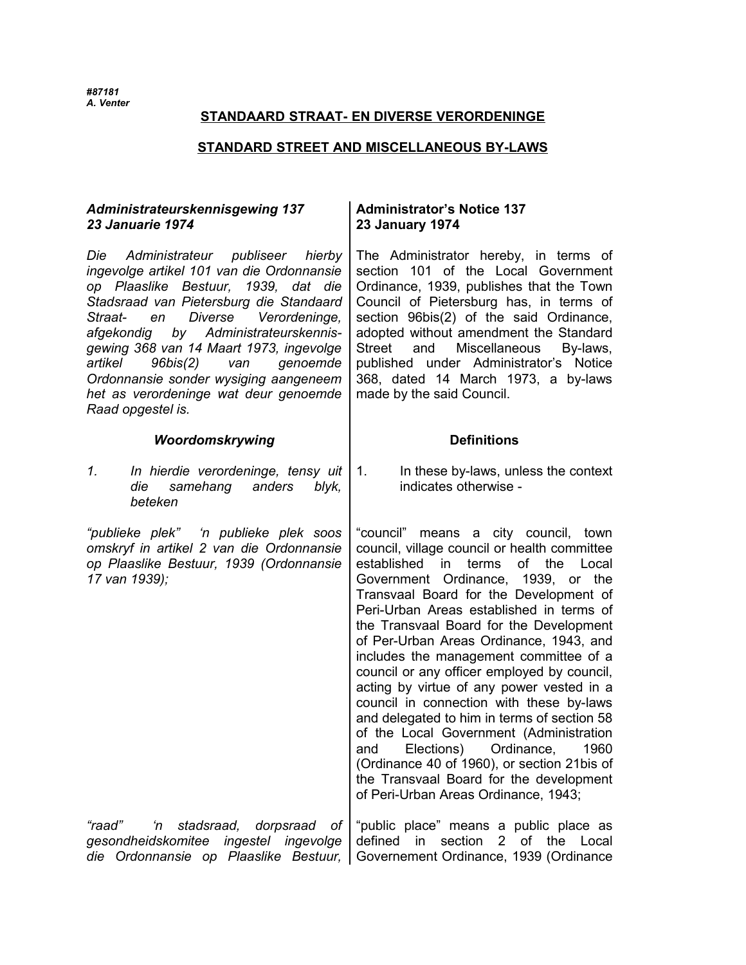## **STANDAARD STRAAT- EN DIVERSE VERORDENINGE**

### **STANDARD STREET AND MISCELLANEOUS BY-LAWS**

## *Administrateurskennisgewing 137 23 Januarie 1974*

*Die Administrateur publiseer hierby ingevolge artikel 101 van die Ordonnansie op Plaaslike Bestuur, 1939, dat die Stadsraad van Pietersburg die Standaard Straat- en Diverse Verordeninge, afgekondig by Administrateurskennisgewing 368 van 14 Maart 1973, ingevolge artikel 96bis(2) van genoemde Ordonnansie sonder wysiging aangeneem het as verordeninge wat deur genoemde Raad opgestel is.*

### **Woordomskrywing Definitions**

## **Administrator's Notice 137 23 January 1974**

The Administrator hereby, in terms of section 101 of the Local Government Ordinance, 1939, publishes that the Town Council of Pietersburg has, in terms of section 96bis(2) of the said Ordinance, adopted without amendment the Standard Street and Miscellaneous By-laws, published under Administrator's Notice 368, dated 14 March 1973, a by-laws made by the said Council.

indicates otherwise -

*1. In hierdie verordeninge, tensy uit die samehang anders blyk, beteken*  1. In these by-laws, unless the context

*"publieke plek" 'n publieke plek soos omskryf in artikel 2 van die Ordonnansie op Plaaslike Bestuur, 1939 (Ordonnansie 17 van 1939);*

"council" means a city council, town council, village council or health committee established in terms of the Local Government Ordinance, 1939, or the Transvaal Board for the Development of Peri-Urban Areas established in terms of the Transvaal Board for the Development of Per-Urban Areas Ordinance, 1943, and includes the management committee of a council or any officer employed by council, acting by virtue of any power vested in a council in connection with these by-laws and delegated to him in terms of section 58 of the Local Government (Administration and Elections) Ordinance, 1960 (Ordinance 40 of 1960), or section 21bis of the Transvaal Board for the development of Peri-Urban Areas Ordinance, 1943;

*"raad" 'n stadsraad, dorpsraad of gesondheidskomitee ingestel ingevolge die Ordonnansie op Plaaslike Bestuur,* Governement Ordinance, 1939 (Ordinance"public place" means a public place as defined in section 2 of the Local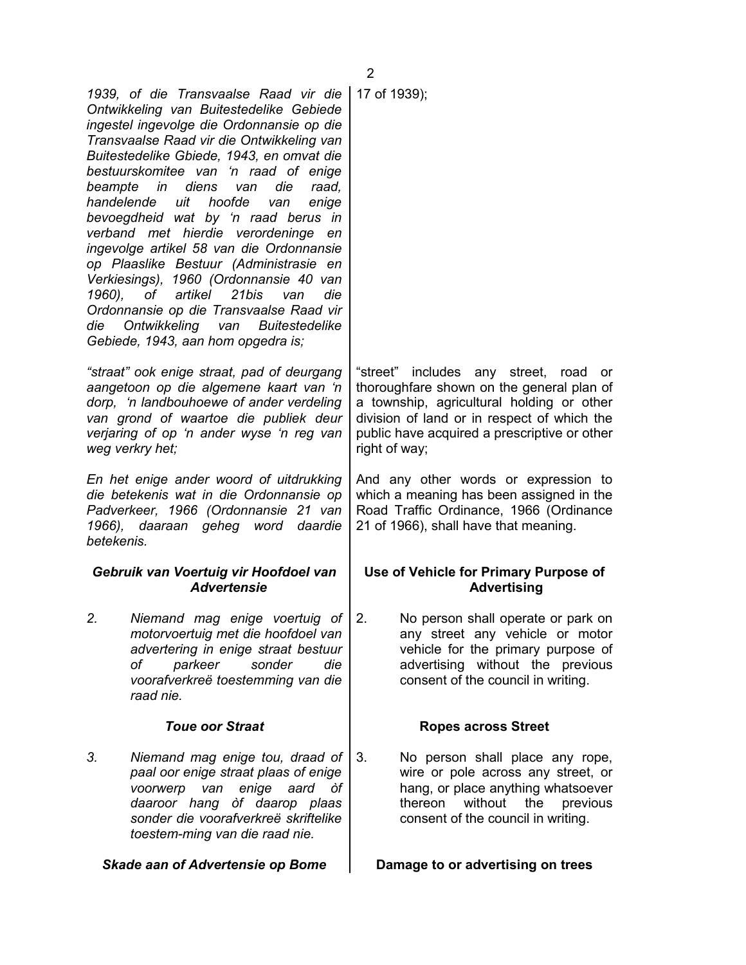| <b>Skade aan of Advertensie op Bome</b>                                                                                                                                                                                                                                                                                                                                                                                                                                                                                                                                                                                                                                                                                                        | Damage to or advertising on trees                                                                                                                                                                                                                  |  |  |
|------------------------------------------------------------------------------------------------------------------------------------------------------------------------------------------------------------------------------------------------------------------------------------------------------------------------------------------------------------------------------------------------------------------------------------------------------------------------------------------------------------------------------------------------------------------------------------------------------------------------------------------------------------------------------------------------------------------------------------------------|----------------------------------------------------------------------------------------------------------------------------------------------------------------------------------------------------------------------------------------------------|--|--|
| 3.<br>Niemand mag enige tou, draad of<br>paal oor enige straat plaas of enige<br>voorwerp van<br>enige<br>aard òf<br>daaroor hang òf daarop plaas<br>sonder die voorafverkreë skriftelike<br>toestem-ming van die raad nie.                                                                                                                                                                                                                                                                                                                                                                                                                                                                                                                    | 3.<br>No person shall place any rope,<br>wire or pole across any street, or<br>hang, or place anything whatsoever<br>without<br>thereon<br>the<br>previous<br>consent of the council in writing.                                                   |  |  |
| <b>Toue oor Straat</b>                                                                                                                                                                                                                                                                                                                                                                                                                                                                                                                                                                                                                                                                                                                         | <b>Ropes across Street</b>                                                                                                                                                                                                                         |  |  |
| 2.<br>Niemand mag enige voertuig of<br>motorvoertuig met die hoofdoel van<br>advertering in enige straat bestuur<br>parkeer<br>of<br>sonder<br>die<br>voorafverkreë toestemming van die<br>raad nie.                                                                                                                                                                                                                                                                                                                                                                                                                                                                                                                                           | 2.<br>No person shall operate or park on<br>any street any vehicle or motor<br>vehicle for the primary purpose of<br>advertising without the previous<br>consent of the council in writing.                                                        |  |  |
| Gebruik van Voertuig vir Hoofdoel van<br><b>Advertensie</b>                                                                                                                                                                                                                                                                                                                                                                                                                                                                                                                                                                                                                                                                                    | Use of Vehicle for Primary Purpose of<br><b>Advertising</b>                                                                                                                                                                                        |  |  |
| En het enige ander woord of uitdrukking<br>die betekenis wat in die Ordonnansie op<br>Padverkeer, 1966 (Ordonnansie 21 van<br>1966), daaraan geheg word daardie<br>betekenis.                                                                                                                                                                                                                                                                                                                                                                                                                                                                                                                                                                  | And any other words or expression to<br>which a meaning has been assigned in the<br>Road Traffic Ordinance, 1966 (Ordinance<br>21 of 1966), shall have that meaning.                                                                               |  |  |
| "straat" ook enige straat, pad of deurgang<br>aangetoon op die algemene kaart van 'n<br>dorp, 'n landbouhoewe of ander verdeling<br>van grond of waartoe die publiek deur<br>verjaring of op 'n ander wyse 'n reg van<br>weg verkry het;                                                                                                                                                                                                                                                                                                                                                                                                                                                                                                       | "street" includes any street, road<br>or<br>thoroughfare shown on the general plan of<br>a township, agricultural holding or other<br>division of land or in respect of which the<br>public have acquired a prescriptive or other<br>right of way; |  |  |
| 1939, of die Transvaalse Raad vir die<br>Ontwikkeling van Buitestedelike Gebiede<br>ingestel ingevolge die Ordonnansie op die<br>Transvaalse Raad vir die Ontwikkeling van<br>Buitestedelike Gbiede, 1943, en omvat die<br>bestuurskomitee van 'n raad of enige<br>beampte in diens<br>die<br>raad,<br>van<br>handelende<br>uit<br>hoofde<br>enige<br>van<br>bevoegdheid wat by 'n raad berus in<br>verband met hierdie verordeninge<br>en<br>ingevolge artikel 58 van die Ordonnansie<br>op Plaaslike Bestuur (Administrasie en<br>Verkiesings), 1960 (Ordonnansie 40 van<br>1960), of artikel 21bis<br>die<br>van<br>Ordonnansie op die Transvaalse Raad vir<br>Ontwikkeling van Buitestedelike<br>die<br>Gebiede, 1943, aan hom opgedra is; | 17 of 1939);                                                                                                                                                                                                                                       |  |  |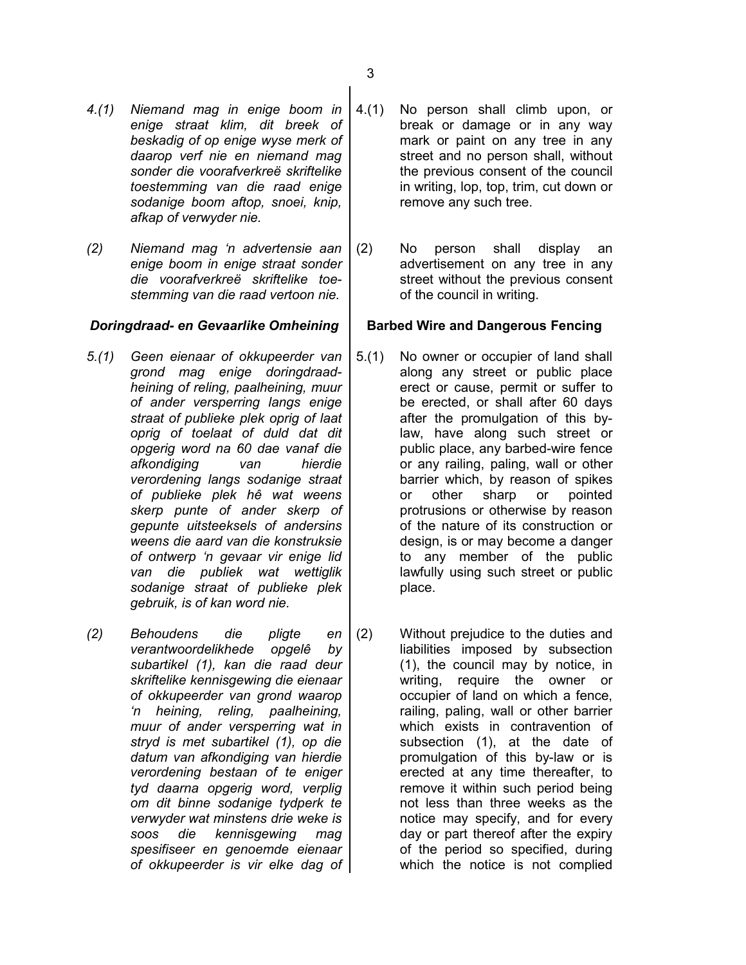- *4.(1) Niemand mag in enige boom in enige straat klim, dit breek of beskadig of op enige wyse merk of daarop verf nie en niemand mag sonder die voorafverkreë skriftelike toestemming van die raad enige sodanige boom aftop, snoei, knip, afkap of verwyder nie.*
- *(2) Niemand mag 'n advertensie aan enige boom in enige straat sonder die voorafverkreë skriftelike toestemming van die raad vertoon nie.*

### *Doringdraad- en Gevaarlike Omheining* **Barbed Wire and Dangerous Fencing**

- *5.(1) Geen eienaar of okkupeerder van grond mag enige doringdraadheining of reling, paalheining, muur of ander versperring langs enige straat of publieke plek oprig of laat oprig of toelaat of duld dat dit opgerig word na 60 dae vanaf die afkondiging van hierdie verordening langs sodanige straat of publieke plek hê wat weens skerp punte of ander skerp of gepunte uitsteeksels of andersins weens die aard van die konstruksie of ontwerp 'n gevaar vir enige lid van die publiek wat wettiglik sodanige straat of publieke plek gebruik, is of kan word nie.*
- *(2) Behoudens die pligte en verantwoordelikhede opgelê by subartikel (1), kan die raad deur skriftelike kennisgewing die eienaar of okkupeerder van grond waarop 'n heining, reling, paalheining, muur of ander versperring wat in stryd is met subartikel (1), op die datum van afkondiging van hierdie verordening bestaan of te eniger tyd daarna opgerig word, verplig om dit binne sodanige tydperk te verwyder wat minstens drie weke is soos die kennisgewing mag spesifiseer en genoemde eienaar of okkupeerder is vir elke dag of*
- 4.(1) No person shall climb upon, or break or damage or in any way mark or paint on any tree in any street and no person shall, without the previous consent of the council in writing, lop, top, trim, cut down or remove any such tree.
- (2) No person shall display an advertisement on any tree in any street without the previous consent of the council in writing.

- 5.(1) No owner or occupier of land shall along any street or public place erect or cause, permit or suffer to be erected, or shall after 60 days after the promulgation of this bylaw, have along such street or public place, any barbed-wire fence or any railing, paling, wall or other barrier which, by reason of spikes or other sharp or pointed protrusions or otherwise by reason of the nature of its construction or design, is or may become a danger to any member of the public lawfully using such street or public place.
- (2) Without prejudice to the duties and liabilities imposed by subsection (1), the council may by notice, in writing, require the owner or occupier of land on which a fence, railing, paling, wall or other barrier which exists in contravention of subsection (1), at the date of promulgation of this by-law or is erected at any time thereafter, to remove it within such period being not less than three weeks as the notice may specify, and for every day or part thereof after the expiry of the period so specified, during which the notice is not complied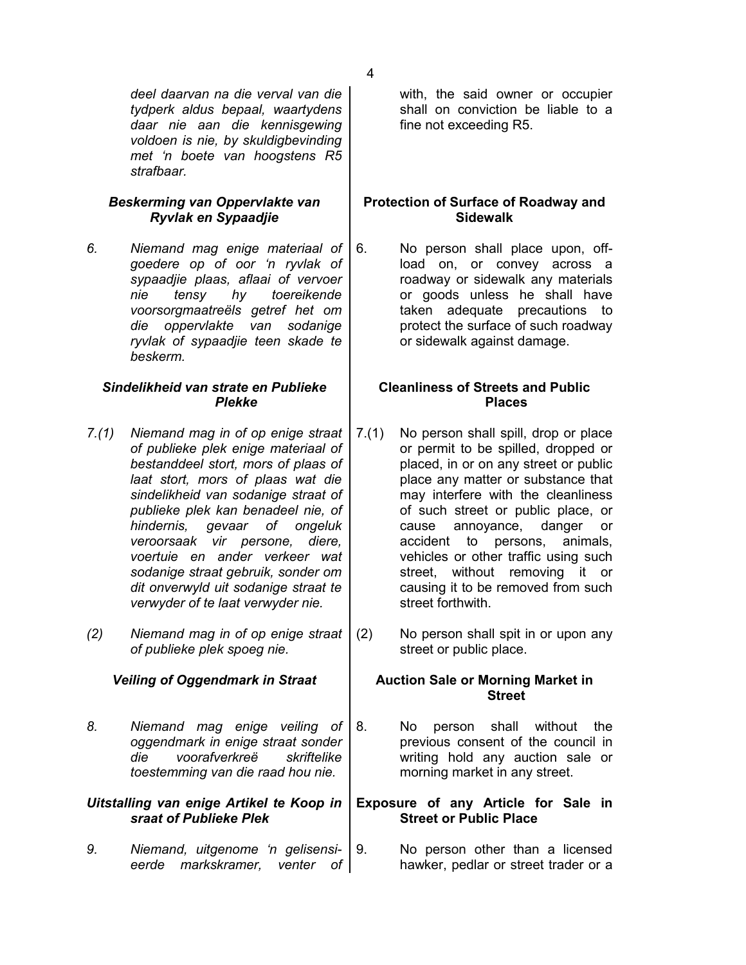*deel daarvan na die verval van die tydperk aldus bepaal, waartydens daar nie aan die kennisgewing voldoen is nie, by skuldigbevinding met 'n boete van hoogstens R5 strafbaar.*

## *Beskerming van Oppervlakte van Ryvlak en Sypaadjie*

*6. Niemand mag enige materiaal of goedere op of oor 'n ryvlak of sypaadjie plaas, aflaai of vervoer nie tensy hy toereikende voorsorgmaatreëls getref het om die oppervlakte van sodanige ryvlak of sypaadjie teen skade te beskerm.*

## *Sindelikheid van strate en Publieke Plekke*

- *7.(1) Niemand mag in of op enige straat of publieke plek enige materiaal of bestanddeel stort, mors of plaas of laat stort, mors of plaas wat die sindelikheid van sodanige straat of publieke plek kan benadeel nie, of hindernis, gevaar of ongeluk veroorsaak vir persone, diere, voertuie en ander verkeer wat sodanige straat gebruik, sonder om dit onverwyld uit sodanige straat te verwyder of te laat verwyder nie.*
- *(2) Niemand mag in of op enige straat of publieke plek spoeg nie.*

*8. Niemand mag enige veiling of oggendmark in enige straat sonder die voorafverkreë skriftelike toestemming van die raad hou nie.*

### *Uitstalling van enige Artikel te Koop in sraat of Publieke Plek*

*9. Niemand, uitgenome 'n gelisensieerde markskramer, venter of* with, the said owner or occupier shall on conviction be liable to a fine not exceeding R5.

## **Protection of Surface of Roadway and Sidewalk**

6. No person shall place upon, offload on, or convey across a roadway or sidewalk any materials or goods unless he shall have taken adequate precautions to protect the surface of such roadway or sidewalk against damage.

# **Cleanliness of Streets and Public Places**

- 7.(1) No person shall spill, drop or place or permit to be spilled, dropped or placed, in or on any street or public place any matter or substance that may interfere with the cleanliness of such street or public place, or cause annoyance, danger or accident to persons, animals, vehicles or other traffic using such street, without removing it or causing it to be removed from such street forthwith.
- (2) No person shall spit in or upon any street or public place.

## *Veiling of Oggendmark in Straat* **Auction Sale or Morning Market in Street**

8. No person shall without the previous consent of the council in writing hold any auction sale or morning market in any street.

## **Exposure of any Article for Sale in Street or Public Place**

9. No person other than a licensed hawker, pedlar or street trader or a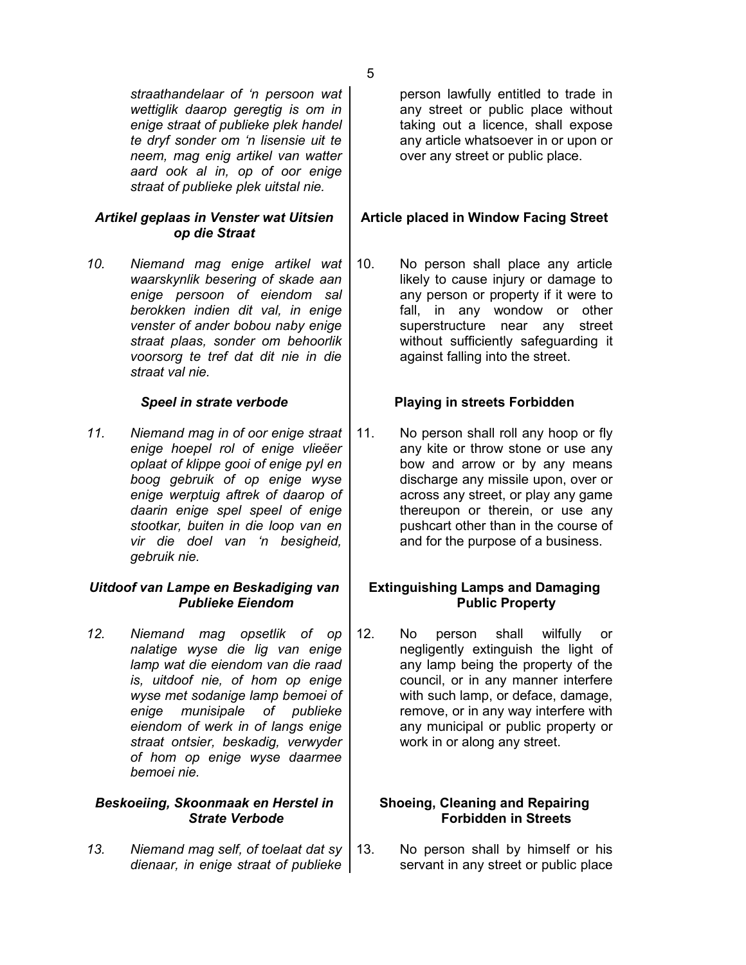*straathandelaar of 'n persoon wat wettiglik daarop geregtig is om in enige straat of publieke plek handel te dryf sonder om 'n lisensie uit te neem, mag enig artikel van watter aard ook al in, op of oor enige straat of publieke plek uitstal nie.*

## *Artikel geplaas in Venster wat Uitsien op die Straat*

*10. Niemand mag enige artikel wat waarskynlik besering of skade aan enige persoon of eiendom sal berokken indien dit val, in enige venster of ander bobou naby enige straat plaas, sonder om behoorlik voorsorg te tref dat dit nie in die straat val nie.*

*11. Niemand mag in of oor enige straat enige hoepel rol of enige vlieëer oplaat of klippe gooi of enige pyl en boog gebruik of op enige wyse enige werptuig aftrek of daarop of daarin enige spel speel of enige stootkar, buiten in die loop van en vir die doel van 'n besigheid, gebruik nie.*

## *Uitdoof van Lampe en Beskadiging van Publieke Eiendom*

*12. Niemand mag opsetlik of op nalatige wyse die lig van enige lamp wat die eiendom van die raad is, uitdoof nie, of hom op enige wyse met sodanige lamp bemoei of enige munisipale of publieke eiendom of werk in of langs enige straat ontsier, beskadig, verwyder of hom op enige wyse daarmee bemoei nie.*

### *Beskoeiing, Skoonmaak en Herstel in Strate Verbode*

*13. Niemand mag self, of toelaat dat sy dienaar, in enige straat of publieke* person lawfully entitled to trade in any street or public place without taking out a licence, shall expose any article whatsoever in or upon or over any street or public place.

# **Article placed in Window Facing Street**

10. No person shall place any article likely to cause injury or damage to any person or property if it were to fall, in any wondow or other superstructure near any street without sufficiently safeguarding it against falling into the street.

# *Speel in strate verbode* **Playing in streets Forbidden**

11. No person shall roll any hoop or fly any kite or throw stone or use any bow and arrow or by any means discharge any missile upon, over or across any street, or play any game thereupon or therein, or use any pushcart other than in the course of and for the purpose of a business.

# **Extinguishing Lamps and Damaging Public Property**

12. No person shall wilfully or negligently extinguish the light of any lamp being the property of the council, or in any manner interfere with such lamp, or deface, damage, remove, or in any way interfere with any municipal or public property or work in or along any street.

## **Shoeing, Cleaning and Repairing Forbidden in Streets**

13. No person shall by himself or his servant in any street or public place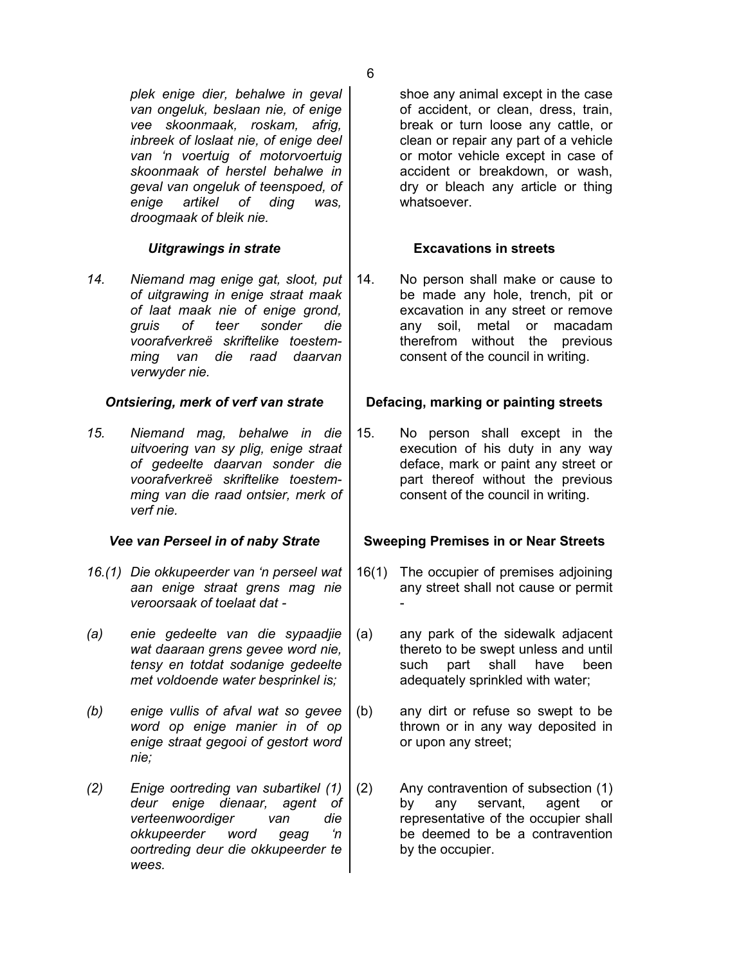*plek enige dier, behalwe in geval van ongeluk, beslaan nie, of enige vee skoonmaak, roskam, afrig, inbreek of loslaat nie, of enige deel van 'n voertuig of motorvoertuig skoonmaak of herstel behalwe in geval van ongeluk of teenspoed, of enige artikel of ding was, droogmaak of bleik nie.*

*14. Niemand mag enige gat, sloot, put of uitgrawing in enige straat maak of laat maak nie of enige grond, gruis of teer sonder die voorafverkreë skriftelike toestemming van die raad daarvan verwyder nie.*

*15. Niemand mag, behalwe in die uitvoering van sy plig, enige straat of gedeelte daarvan sonder die voorafverkreë skriftelike toestemming van die raad ontsier, merk of verf nie.*

- *16.(1) Die okkupeerder van 'n perseel wat aan enige straat grens mag nie veroorsaak of toelaat dat -*
- *(a) enie gedeelte van die sypaadjie wat daaraan grens gevee word nie, tensy en totdat sodanige gedeelte met voldoende water besprinkel is;*
- *(b) enige vullis of afval wat so gevee word op enige manier in of op enige straat gegooi of gestort word nie;*
- *(2) Enige oortreding van subartikel (1) deur enige dienaar, agent of verteenwoordiger van die okkupeerder word geag 'n oortreding deur die okkupeerder te wees.*

shoe any animal except in the case of accident, or clean, dress, train, break or turn loose any cattle, or clean or repair any part of a vehicle or motor vehicle except in case of accident or breakdown, or wash, dry or bleach any article or thing whatsoever.

# *Uitgrawings in strate* **Excavations in streets**

14. No person shall make or cause to be made any hole, trench, pit or excavation in any street or remove any soil, metal or macadam therefrom without the previous consent of the council in writing.

# *Ontsiering, merk of verf van strate* **Defacing, marking or painting streets**

15. No person shall except in the execution of his duty in any way deface, mark or paint any street or part thereof without the previous consent of the council in writing.

# *Vee van Perseel in of naby Strate* **| Sweeping Premises in or Near Streets**

- 16(1) The occupier of premises adjoining any street shall not cause or permit -
- (a) any park of the sidewalk adjacent thereto to be swept unless and until such part shall have been adequately sprinkled with water;
- (b) any dirt or refuse so swept to be thrown or in any way deposited in or upon any street;
- (2) Any contravention of subsection (1) by any servant, agent or representative of the occupier shall be deemed to be a contravention by the occupier.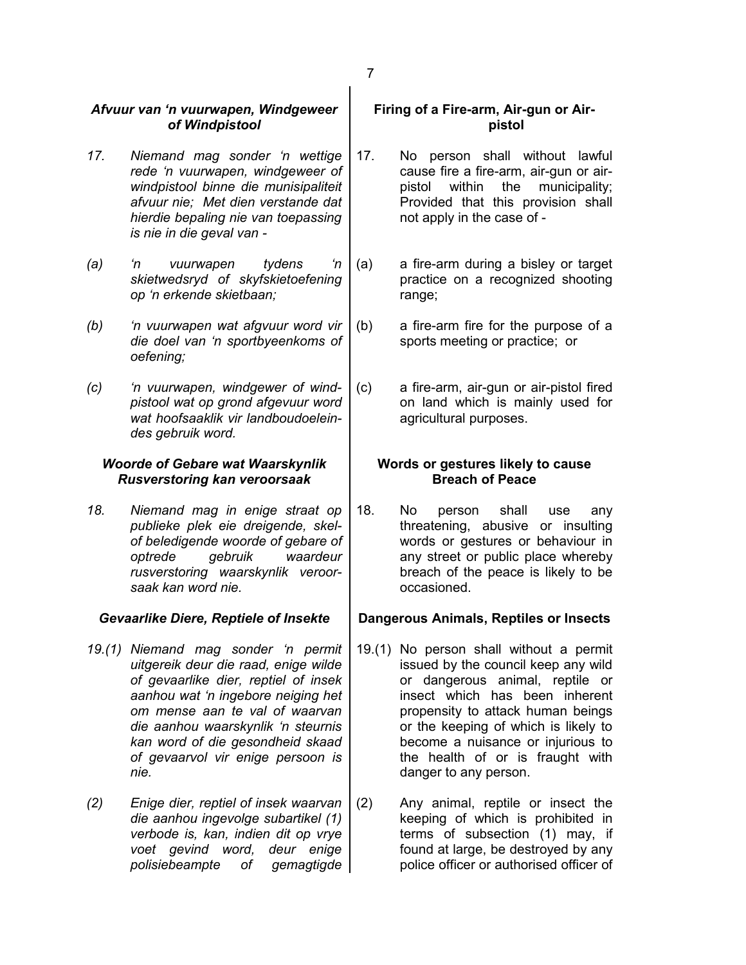## *Afvuur van 'n vuurwapen, Windgeweer of Windpistool*

- *17. Niemand mag sonder 'n wettige rede 'n vuurwapen, windgeweer of windpistool binne die munisipaliteit afvuur nie; Met dien verstande dat hierdie bepaling nie van toepassing is nie in die geval van -*
- *(a) 'n vuurwapen tydens 'n skietwedsryd of skyfskietoefening op 'n erkende skietbaan;*
- *(b) 'n vuurwapen wat afgvuur word vir die doel van 'n sportbyeenkoms of oefening;*
- *(c) 'n vuurwapen, windgewer of windpistool wat op grond afgevuur word wat hoofsaaklik vir landboudoeleindes gebruik word.*

## *Woorde of Gebare wat Waarskynlik Rusverstoring kan veroorsaak*

*18. Niemand mag in enige straat op publieke plek eie dreigende, skelof beledigende woorde of gebare of optrede gebruik waardeur rusverstoring waarskynlik veroorsaak kan word nie.*

- *19.(1) Niemand mag sonder 'n permit uitgereik deur die raad, enige wilde of gevaarlike dier, reptiel of insek aanhou wat 'n ingebore neiging het om mense aan te val of waarvan die aanhou waarskynlik 'n steurnis kan word of die gesondheid skaad of gevaarvol vir enige persoon is nie.*
- *(2) Enige dier, reptiel of insek waarvan die aanhou ingevolge subartikel (1) verbode is, kan, indien dit op vrye voet gevind word, deur enige polisiebeampte of gemagtigde*

# **Firing of a Fire-arm, Air-gun or Airpistol**

- 17. No person shall without lawful cause fire a fire-arm, air-gun or airpistol within the municipality; Provided that this provision shall not apply in the case of -
- (a) a fire-arm during a bisley or target practice on a recognized shooting range;
- (b) a fire-arm fire for the purpose of a sports meeting or practice; or
- (c) a fire-arm, air-gun or air-pistol fired on land which is mainly used for agricultural purposes.

## **Words or gestures likely to cause Breach of Peace**

18. No person shall use any threatening, abusive or insulting words or gestures or behaviour in any street or public place whereby breach of the peace is likely to be occasioned.

# *Gevaarlike Diere, Reptiele of Insekte* **Dangerous Animals, Reptiles or Insects**

- 19.(1) No person shall without a permit issued by the council keep any wild or dangerous animal, reptile or insect which has been inherent propensity to attack human beings or the keeping of which is likely to become a nuisance or injurious to the health of or is fraught with danger to any person.
- (2) Any animal, reptile or insect the keeping of which is prohibited in terms of subsection (1) may, if found at large, be destroyed by any police officer or authorised officer of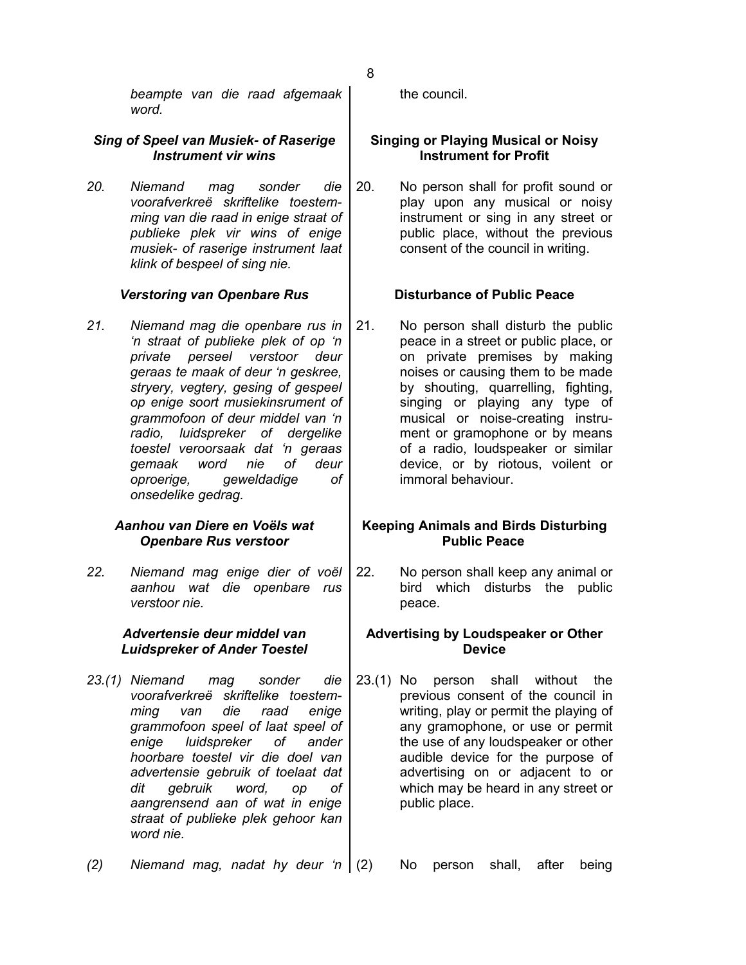*beampte van die raad afgemaak word.*

## *Sing of Speel van Musiek- of Raserige Instrument vir wins*

*20. Niemand mag sonder die voorafverkreë skriftelike toestemming van die raad in enige straat of publieke plek vir wins of enige musiek- of raserige instrument laat klink of bespeel of sing nie.*

# *Verstoring van Openbare Rus* **Disturbance of Public Peace**

*21. Niemand mag die openbare rus in 'n straat of publieke plek of op 'n private perseel verstoor deur geraas te maak of deur 'n geskree, stryery, vegtery, gesing of gespeel op enige soort musiekinsrument of grammofoon of deur middel van 'n radio, luidspreker of dergelike toestel veroorsaak dat 'n geraas gemaak word nie of deur oproerige, geweldadige of onsedelike gedrag.*

## *Aanhou van Diere en Voëls wat Openbare Rus verstoor*

*22. Niemand mag enige dier of voël aanhou wat die openbare rus verstoor nie.*

## *Advertensie deur middel van Luidspreker of Ander Toestel*

*23.(1) Niemand mag sonder die voorafverkreë skriftelike toestemming van die raad enige grammofoon speel of laat speel of enige luidspreker of ander hoorbare toestel vir die doel van advertensie gebruik of toelaat dat dit gebruik word, op of aangrensend aan of wat in enige straat of publieke plek gehoor kan word nie.*

*(2) Niemand mag, nadat hy deur 'n* (2) No person shall, after being

the council.

# **Singing or Playing Musical or Noisy Instrument for Profit**

20. No person shall for profit sound or play upon any musical or noisy instrument or sing in any street or public place, without the previous consent of the council in writing.

21. No person shall disturb the public peace in a street or public place, or on private premises by making noises or causing them to be made by shouting, quarrelling, fighting, singing or playing any type of musical or noise-creating instrument or gramophone or by means of a radio, loudspeaker or similar device, or by riotous, voilent or immoral behaviour.

## **Keeping Animals and Birds Disturbing Public Peace**

22. No person shall keep any animal or bird which disturbs the public peace.

## **Advertising by Loudspeaker or Other Device**

23.(1) No person shall without the previous consent of the council in writing, play or permit the playing of any gramophone, or use or permit the use of any loudspeaker or other audible device for the purpose of advertising on or adjacent to or which may be heard in any street or public place.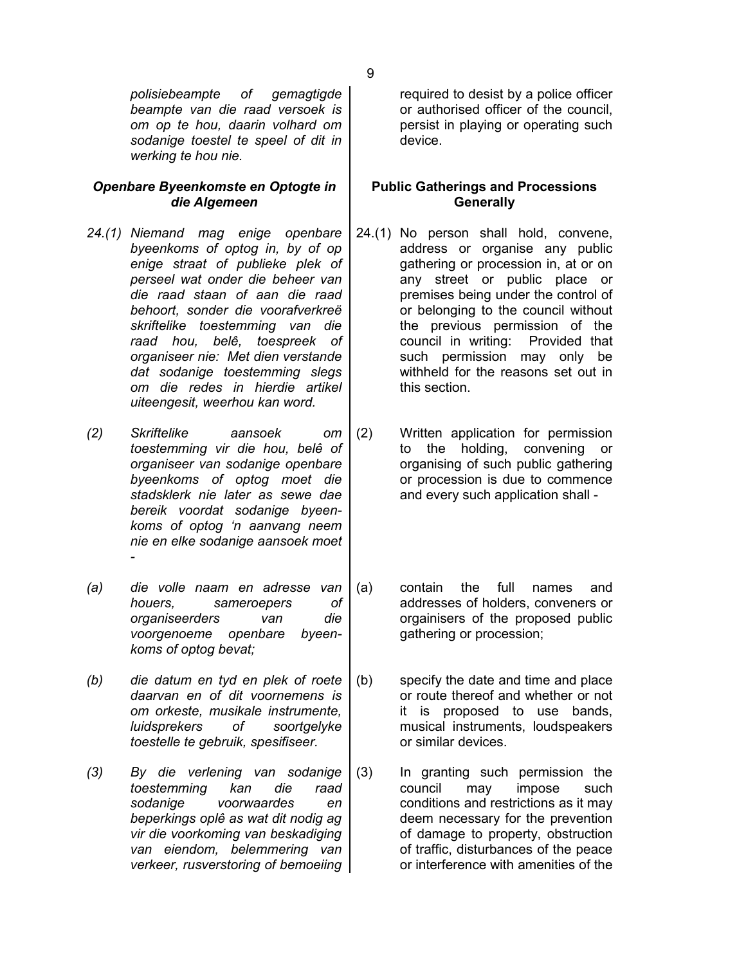## *Openbare Byeenkomste en Optogte in die Algemeen*

- *24.(1) Niemand mag enige openbare byeenkoms of optog in, by of op enige straat of publieke plek of perseel wat onder die beheer van die raad staan of aan die raad behoort, sonder die voorafverkreë skriftelike toestemming van die raad hou, belê, toespreek of organiseer nie: Met dien verstande dat sodanige toestemming slegs om die redes in hierdie artikel uiteengesit, weerhou kan word.*
- *(2) Skriftelike aansoek om toestemming vir die hou, belê of organiseer van sodanige openbare byeenkoms of optog moet die stadsklerk nie later as sewe dae bereik voordat sodanige byeenkoms of optog 'n aanvang neem nie en elke sodanige aansoek moet -*
- *(a) die volle naam en adresse van houers, sameroepers of organiseerders van die voorgenoeme openbare byeenkoms of optog bevat;*
- *(b) die datum en tyd en plek of roete daarvan en of dit voornemens is om orkeste, musikale instrumente, luidsprekers of soortgelyke toestelle te gebruik, spesifiseer.*
- *(3) By die verlening van sodanige toestemming kan die raad sodanige voorwaardes en beperkings oplê as wat dit nodig ag vir die voorkoming van beskadiging van eiendom, belemmering van verkeer, rusverstoring of bemoeiing*

required to desist by a police officer or authorised officer of the council, persist in playing or operating such device.

# **Public Gatherings and Processions Generally**

- 24.(1) No person shall hold, convene, address or organise any public gathering or procession in, at or on any street or public place or premises being under the control of or belonging to the council without the previous permission of the council in writing: Provided that such permission may only be withheld for the reasons set out in this section.
- (2) Written application for permission to the holding, convening or organising of such public gathering or procession is due to commence and every such application shall -
- (a) contain the full names and addresses of holders, conveners or orgainisers of the proposed public gathering or procession;
- (b) specify the date and time and place or route thereof and whether or not it is proposed to use bands, musical instruments, loudspeakers or similar devices.
- (3) In granting such permission the council may impose such conditions and restrictions as it may deem necessary for the prevention of damage to property, obstruction of traffic, disturbances of the peace or interference with amenities of the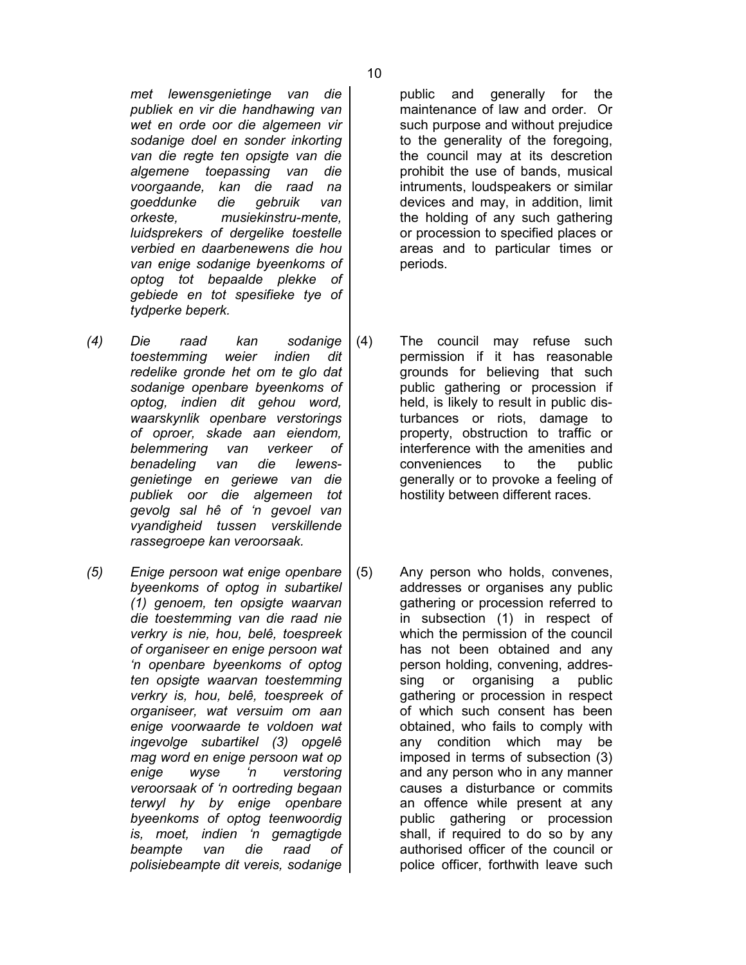*met lewensgenietinge van die publiek en vir die handhawing van wet en orde oor die algemeen vir sodanige doel en sonder inkorting van die regte ten opsigte van die algemene toepassing van die voorgaande, kan die raad na goeddunke die gebruik van orkeste, musiekinstru-mente, luidsprekers of dergelike toestelle verbied en daarbenewens die hou van enige sodanige byeenkoms of optog tot bepaalde plekke of gebiede en tot spesifieke tye of tydperke beperk.*

- *(4) Die raad kan sodanige toestemming weier indien dit redelike gronde het om te glo dat sodanige openbare byeenkoms of optog, indien dit gehou word, waarskynlik openbare verstorings of oproer, skade aan eiendom, belemmering van verkeer of benadeling van die lewensgenietinge en geriewe van die publiek oor die algemeen tot gevolg sal hê of 'n gevoel van vyandigheid tussen verskillende rassegroepe kan veroorsaak.*
- *(5) Enige persoon wat enige openbare byeenkoms of optog in subartikel (1) genoem, ten opsigte waarvan die toestemming van die raad nie verkry is nie, hou, belê, toespreek of organiseer en enige persoon wat 'n openbare byeenkoms of optog ten opsigte waarvan toestemming verkry is, hou, belê, toespreek of organiseer, wat versuim om aan enige voorwaarde te voldoen wat ingevolge subartikel (3) opgelê mag word en enige persoon wat op enige wyse 'n verstoring veroorsaak of 'n oortreding begaan terwyl hy by enige openbare byeenkoms of optog teenwoordig is, moet, indien 'n gemagtigde beampte van die raad of polisiebeampte dit vereis, sodanige*

public and generally for the maintenance of law and order. Or such purpose and without prejudice to the generality of the foregoing, the council may at its descretion prohibit the use of bands, musical intruments, loudspeakers or similar devices and may, in addition, limit the holding of any such gathering or procession to specified places or areas and to particular times or periods.

- (4) The council may refuse such permission if it has reasonable grounds for believing that such public gathering or procession if held, is likely to result in public disturbances or riots, damage to property, obstruction to traffic or interference with the amenities and conveniences to the public generally or to provoke a feeling of hostility between different races.
- (5) Any person who holds, convenes, addresses or organises any public gathering or procession referred to in subsection (1) in respect of which the permission of the council has not been obtained and any person holding, convening, addressing or organising a public gathering or procession in respect of which such consent has been obtained, who fails to comply with any condition which may be imposed in terms of subsection (3) and any person who in any manner causes a disturbance or commits an offence while present at any public gathering or procession shall, if required to do so by any authorised officer of the council or police officer, forthwith leave such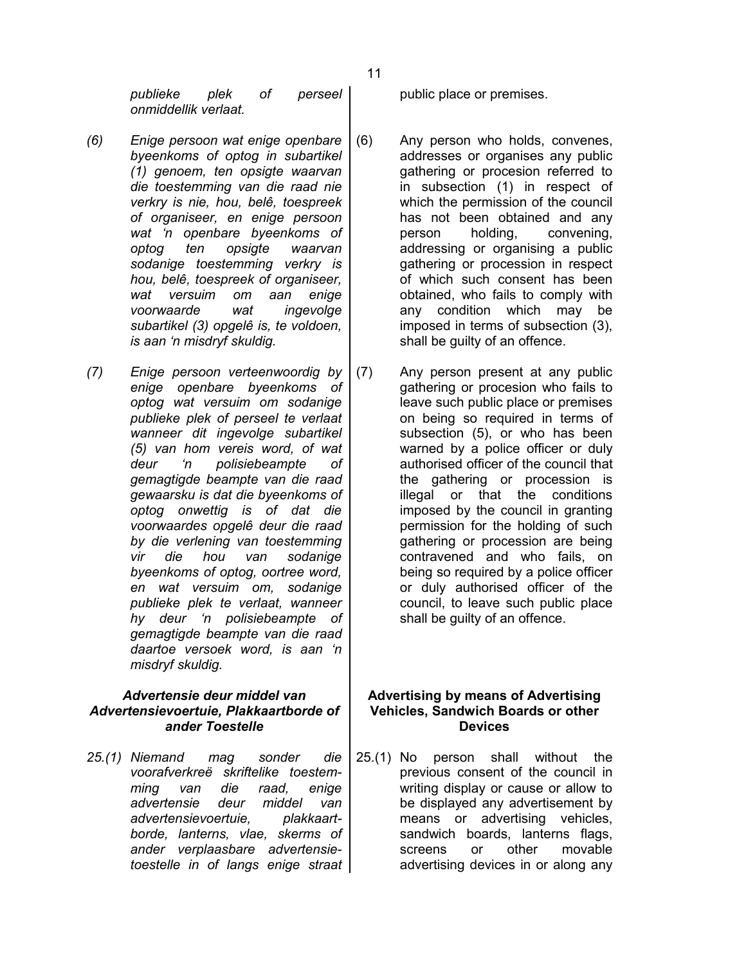*publieke plek of perseel onmiddellik verlaat.*

- *(6) Enige persoon wat enige openbare byeenkoms of optog in subartikel (1) genoem, ten opsigte waarvan die toestemming van die raad nie verkry is nie, hou, belê, toespreek of organiseer, en enige persoon wat 'n openbare byeenkoms of optog ten opsigte waarvan sodanige toestemming verkry is hou, belê, toespreek of organiseer, wat versuim om aan enige voorwaarde wat ingevolge subartikel (3) opgelê is, te voldoen, is aan 'n misdryf skuldig.*
- *(7) Enige persoon verteenwoordig by enige openbare byeenkoms of optog wat versuim om sodanige publieke plek of perseel te verlaat wanneer dit ingevolge subartikel (5) van hom vereis word, of wat deur 'n polisiebeampte of gemagtigde beampte van die raad gewaarsku is dat die byeenkoms of optog onwettig is of dat die voorwaardes opgelê deur die raad by die verlening van toestemming vir die hou van sodanige byeenkoms of optog, oortree word, en wat versuim om, sodanige publieke plek te verlaat, wanneer hy deur 'n polisiebeampte of gemagtigde beampte van die raad daartoe versoek word, is aan 'n misdryf skuldig.*

## *Advertensie deur middel van Advertensievoertuie, Plakkaartborde of ander Toestelle*

*25.(1) Niemand mag sonder die voorafverkreë skriftelike toestemming van die raad, enige advertensie deur middel van advertensievoertuie, plakkaartborde, lanterns, vlae, skerms of ander verplaasbare advertensietoestelle in of langs enige straat* public place or premises.

- (6) Any person who holds, convenes, addresses or organises any public gathering or procesion referred to in subsection (1) in respect of which the permission of the council has not been obtained and any person holding, convening, addressing or organising a public gathering or procession in respect of which such consent has been obtained, who fails to comply with any condition which may be imposed in terms of subsection (3), shall be guilty of an offence.
- (7) Any person present at any public gathering or procesion who fails to leave such public place or premises on being so required in terms of subsection (5), or who has been warned by a police officer or duly authorised officer of the council that the gathering or procession is illegal or that the conditions imposed by the council in granting permission for the holding of such gathering or procession are being contravened and who fails, on being so required by a police officer or duly authorised officer of the council, to leave such public place shall be guilty of an offence.

## **Advertising by means of Advertising Vehicles, Sandwich Boards or other Devices**

25.(1) No person shall without the previous consent of the council in writing display or cause or allow to be displayed any advertisement by means or advertising vehicles, sandwich boards, lanterns flags, screens or other movable advertising devices in or along any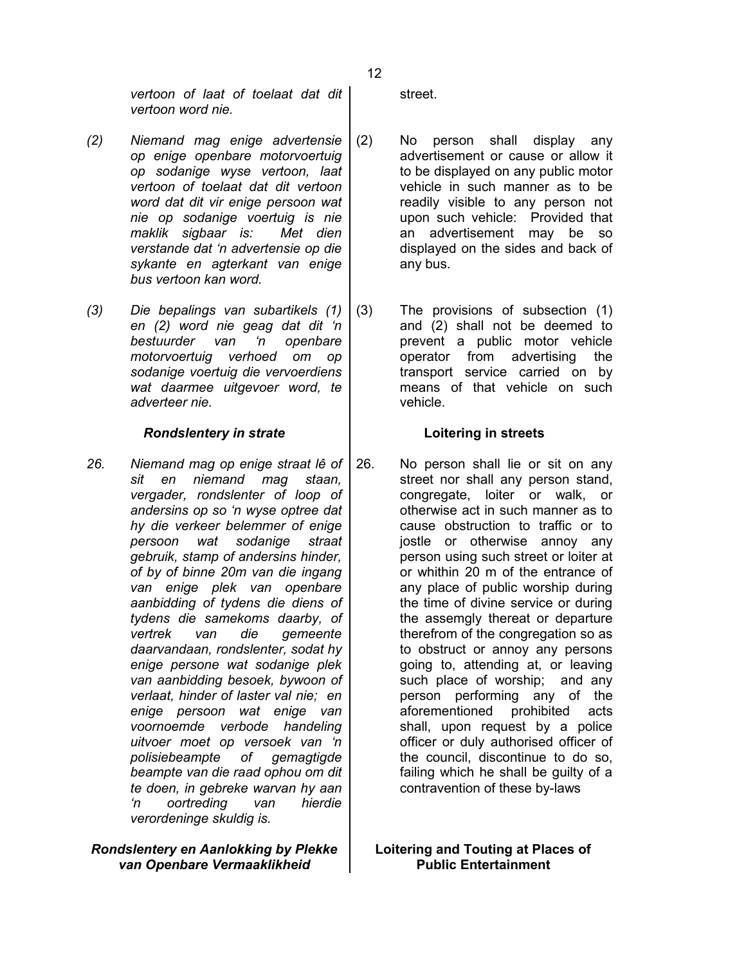*vertoon of laat of toelaat dat dit vertoon word nie.*

- *(2) Niemand mag enige advertensie op enige openbare motorvoertuig op sodanige wyse vertoon, laat vertoon of toelaat dat dit vertoon word dat dit vir enige persoon wat nie op sodanige voertuig is nie maklik sigbaar is: Met dien verstande dat 'n advertensie op die sykante en agterkant van enige bus vertoon kan word.*
- *(3) Die bepalings van subartikels (1) en (2) word nie geag dat dit 'n bestuurder van 'n openbare motorvoertuig verhoed om op sodanige voertuig die vervoerdiens wat daarmee uitgevoer word, te adverteer nie.*

## *Rondslentery in strate* **Loitering in streets**

*26. Niemand mag op enige straat lê of sit en niemand mag staan, vergader, rondslenter of loop of andersins op so 'n wyse optree dat hy die verkeer belemmer of enige persoon wat sodanige straat gebruik, stamp of andersins hinder, of by of binne 20m van die ingang van enige plek van openbare aanbidding of tydens die diens of tydens die samekoms daarby, of vertrek van die gemeente daarvandaan, rondslenter, sodat hy enige persone wat sodanige plek van aanbidding besoek, bywoon of verlaat, hinder of laster val nie; en enige persoon wat enige van voornoemde verbode handeling uitvoer moet op versoek van 'n polisiebeampte of gemagtigde beampte van die raad ophou om dit te doen, in gebreke warvan hy aan 'n oortreding van hierdie verordeninge skuldig is.*

## *Rondslentery en Aanlokking by Plekke van Openbare Vermaaklikheid*

street.

- (2) No person shall display any advertisement or cause or allow it to be displayed on any public motor vehicle in such manner as to be readily visible to any person not upon such vehicle: Provided that an advertisement may be so displayed on the sides and back of any bus.
- (3) The provisions of subsection (1) and (2) shall not be deemed to prevent a public motor vehicle operator from advertising the transport service carried on by means of that vehicle on such vehicle.

26. No person shall lie or sit on any street nor shall any person stand, congregate, loiter or walk, or otherwise act in such manner as to cause obstruction to traffic or to jostle or otherwise annoy any person using such street or loiter at or whithin 20 m of the entrance of any place of public worship during the time of divine service or during the assemgly thereat or departure therefrom of the congregation so as to obstruct or annoy any persons going to, attending at, or leaving such place of worship; and any person performing any of the aforementioned prohibited acts shall, upon request by a police officer or duly authorised officer of the council, discontinue to do so, failing which he shall be guilty of a contravention of these by-laws

**Loitering and Touting at Places of Public Entertainment**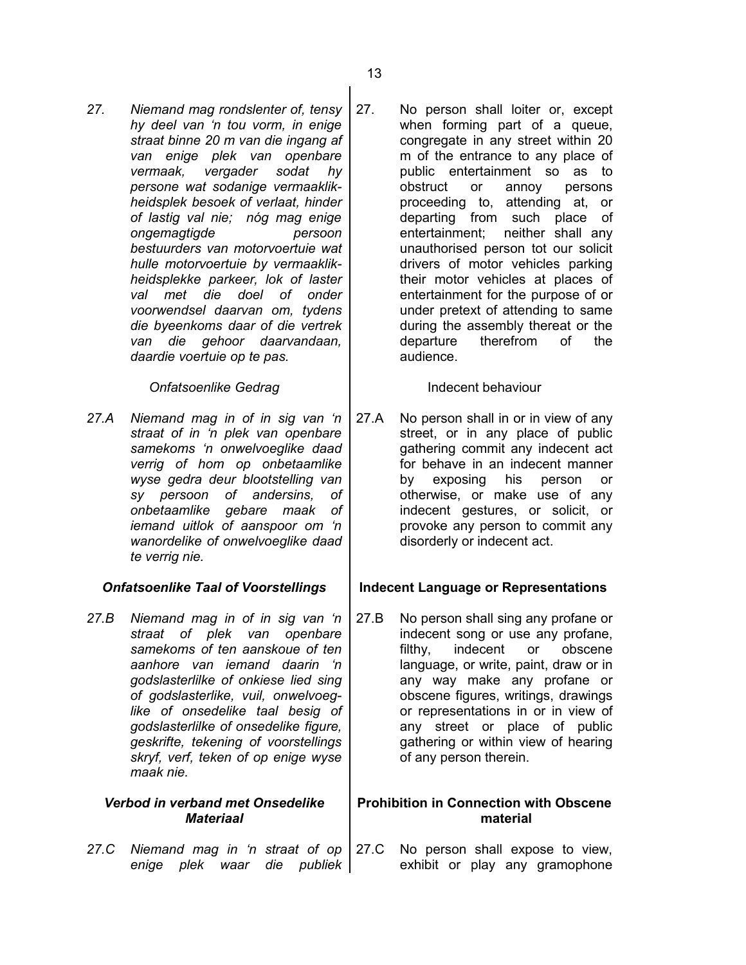*27. Niemand mag rondslenter of, tensy hy deel van 'n tou vorm, in enige straat binne 20 m van die ingang af van enige plek van openbare vermaak, vergader sodat hy persone wat sodanige vermaaklikheidsplek besoek of verlaat, hinder of lastig val nie; nóg mag enige ongemagtigde persoon bestuurders van motorvoertuie wat hulle motorvoertuie by vermaaklikheidsplekke parkeer, lok of laster val met die doel of onder voorwendsel daarvan om, tydens die byeenkoms daar of die vertrek van die gehoor daarvandaan, daardie voertuie op te pas.*

## **Onfatsoenlike Gedrag** Indecent behaviour

*27.A Niemand mag in of in sig van 'n straat of in 'n plek van openbare samekoms 'n onwelvoeglike daad verrig of hom op onbetaamlike wyse gedra deur blootstelling van sy persoon of andersins, of onbetaamlike gebare maak of iemand uitlok of aanspoor om 'n wanordelike of onwelvoeglike daad te verrig nie.*

*27.B Niemand mag in of in sig van 'n straat of plek van openbare samekoms of ten aanskoue of ten aanhore van iemand daarin 'n godslasterlilke of onkiese lied sing of godslasterlike, vuil, onwelvoeglike of onsedelike taal besig of godslasterlilke of onsedelike figure, geskrifte, tekening of voorstellings skryf, verf, teken of op enige wyse maak nie.*

### *Verbod in verband met Onsedelike Materiaal*

*27.C Niemand mag in 'n straat of op enige plek waar die publiek*

27. No person shall loiter or, except when forming part of a queue, congregate in any street within 20 m of the entrance to any place of public entertainment so as to obstruct or annoy persons proceeding to, attending at, or departing from such place of entertainment; neither shall any unauthorised person tot our solicit drivers of motor vehicles parking their motor vehicles at places of entertainment for the purpose of or under pretext of attending to same during the assembly thereat or the departure therefrom of the audience.

27.A No person shall in or in view of any street, or in any place of public gathering commit any indecent act for behave in an indecent manner by exposing his person or otherwise, or make use of any indecent gestures, or solicit, or provoke any person to commit any disorderly or indecent act.

## *Onfatsoenlike Taal of Voorstellings* **Indecent Language or Representations**

27.B No person shall sing any profane or indecent song or use any profane, filthy, indecent or obscene language, or write, paint, draw or in any way make any profane or obscene figures, writings, drawings or representations in or in view of any street or place of public gathering or within view of hearing of any person therein.

## **Prohibition in Connection with Obscene material**

27.C No person shall expose to view, exhibit or play any gramophone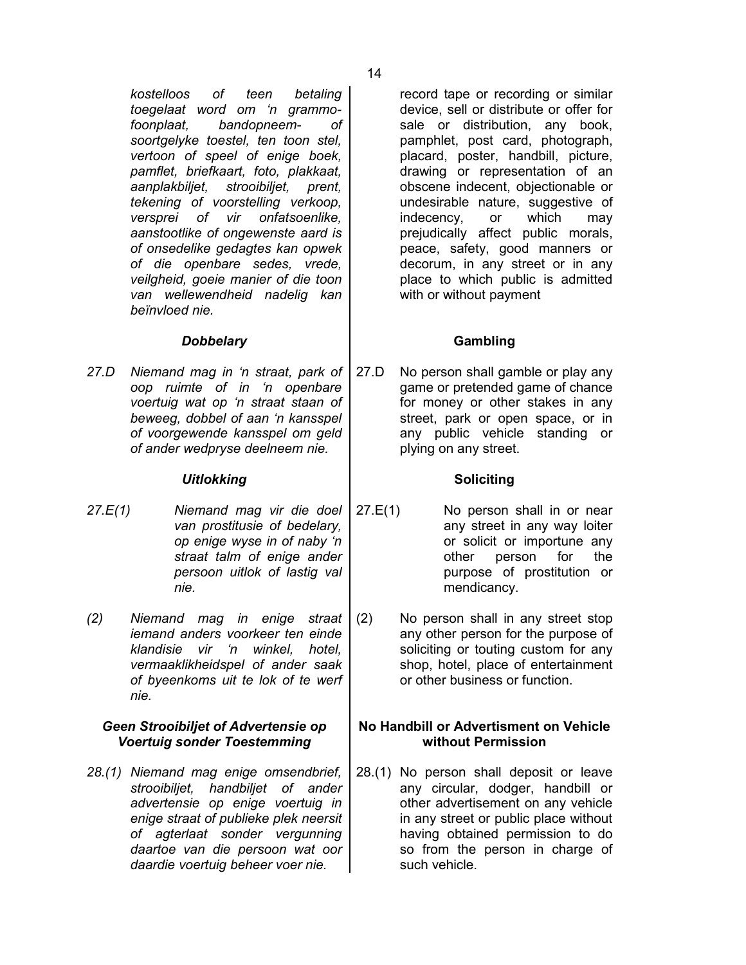*kostelloos of teen betaling toegelaat word om 'n grammofoonplaat, bandopneem- of soortgelyke toestel, ten toon stel, vertoon of speel of enige boek, pamflet, briefkaart, foto, plakkaat, aanplakbiljet, strooibiljet, prent, tekening of voorstelling verkoop, versprei of vir onfatsoenlike, aanstootlike of ongewenste aard is of onsedelike gedagtes kan opwek of die openbare sedes, vrede, veilgheid, goeie manier of die toon van wellewendheid nadelig kan beïnvloed nie.*

## *Dobbelary* **Gambling**

*27.D Niemand mag in 'n straat, park of oop ruimte of in 'n openbare voertuig wat op 'n straat staan of beweeg, dobbel of aan 'n kansspel of voorgewende kansspel om geld of ander wedpryse deelneem nie.*

### Uitlokking **Soliciting**

- *27.E(1) Niemand mag vir die doel van prostitusie of bedelary, op enige wyse in of naby 'n straat talm of enige ander persoon uitlok of lastig val nie.*
- *(2) Niemand mag in enige straat iemand anders voorkeer ten einde klandisie vir 'n winkel, hotel, vermaaklikheidspel of ander saak of byeenkoms uit te lok of te werf nie.*

## *Geen Strooibiljet of Advertensie op Voertuig sonder Toestemming*

*28.(1) Niemand mag enige omsendbrief, strooibiljet, handbiljet of ander advertensie op enige voertuig in enige straat of publieke plek neersit of agterlaat sonder vergunning daartoe van die persoon wat oor daardie voertuig beheer voer nie.*

record tape or recording or similar device, sell or distribute or offer for sale or distribution, any book, pamphlet, post card, photograph, placard, poster, handbill, picture, drawing or representation of an obscene indecent, objectionable or undesirable nature, suggestive of indecency, or which may prejudically affect public morals, peace, safety, good manners or decorum, in any street or in any place to which public is admitted with or without payment

27.D No person shall gamble or play any game or pretended game of chance for money or other stakes in any street, park or open space, or in any public vehicle standing or plying on any street.

- 27.E(1) No person shall in or near any street in any way loiter or solicit or importune any other person for the purpose of prostitution or mendicancy.
	- (2) No person shall in any street stop any other person for the purpose of soliciting or touting custom for any shop, hotel, place of entertainment or other business or function.

## **No Handbill or Advertisment on Vehicle without Permission**

28.(1) No person shall deposit or leave any circular, dodger, handbill or other advertisement on any vehicle in any street or public place without having obtained permission to do so from the person in charge of such vehicle.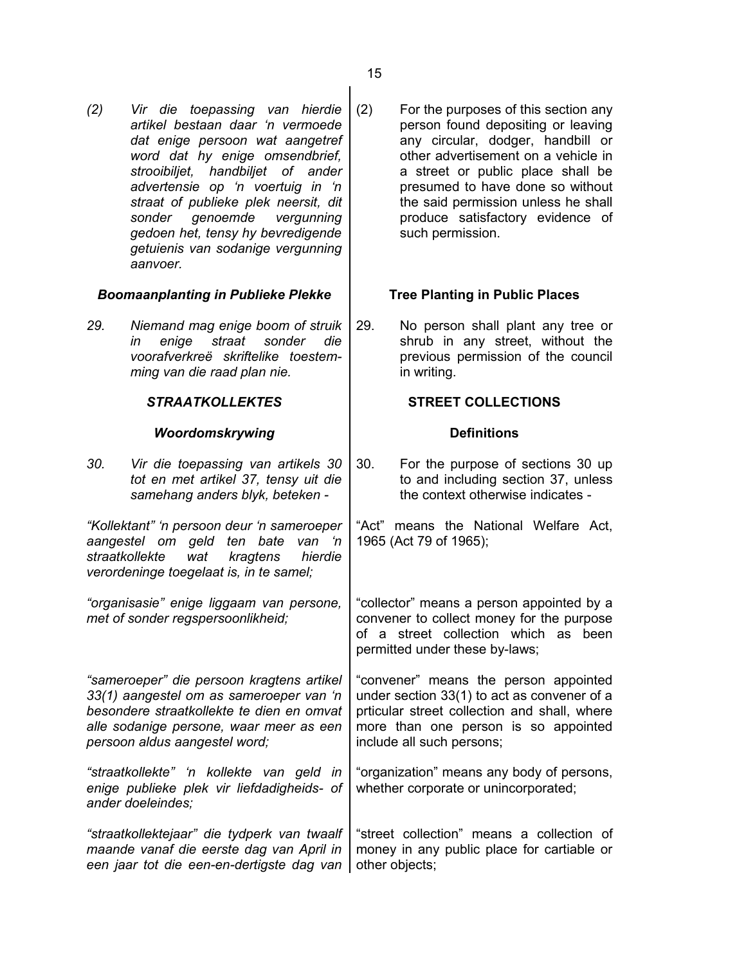*(2) Vir die toepassing van hierdie artikel bestaan daar 'n vermoede dat enige persoon wat aangetref word dat hy enige omsendbrief, strooibiljet, handbiljet of ander advertensie op 'n voertuig in 'n straat of publieke plek neersit, dit sonder genoemde vergunning gedoen het, tensy hy bevredigende getuienis van sodanige vergunning aanvoer.*

## *Boomaanplanting in Publieke Plekke* **Tree Planting in Public Places**

*29. Niemand mag enige boom of struik in enige straat sonder die voorafverkreë skriftelike toestemming van die raad plan nie.*

## **Woordomskrywing Definitions**

*30. Vir die toepassing van artikels 30 tot en met artikel 37, tensy uit die samehang anders blyk, beteken -*

*"Kollektant" 'n persoon deur 'n sameroeper aangestel om geld ten bate van 'n straatkollekte wat kragtens hierdie verordeninge toegelaat is, in te samel;*

*"organisasie" enige liggaam van persone, met of sonder regspersoonlikheid;*

*"sameroeper" die persoon kragtens artikel 33(1) aangestel om as sameroeper van 'n besondere straatkollekte te dien en omvat alle sodanige persone, waar meer as een persoon aldus aangestel word;*

*"straatkollekte" 'n kollekte van geld in enige publieke plek vir liefdadigheids- of ander doeleindes;*

*"straatkollektejaar" die tydperk van twaalf maande vanaf die eerste dag van April in* een jaar tot die een-en-dertigste dag van | other objects; "street collection" means a collection of money in any public place for cartiable or

(2) For the purposes of this section any person found depositing or leaving any circular, dodger, handbill or other advertisement on a vehicle in a street or public place shall be presumed to have done so without the said permission unless he shall produce satisfactory evidence of such permission.

29. No person shall plant any tree or shrub in any street, without the previous permission of the council in writing.

## *STRAATKOLLEKTES* **STREET COLLECTIONS**

30. For the purpose of sections 30 up to and including section 37, unless the context otherwise indicates -

"Act" means the National Welfare Act, 1965 (Act 79 of 1965);

"collector" means a person appointed by a convener to collect money for the purpose of a street collection which as been permitted under these by-laws;

"convener" means the person appointed under section 33(1) to act as convener of a prticular street collection and shall, where more than one person is so appointed include all such persons;

"organization" means any body of persons, whether corporate or unincorporated;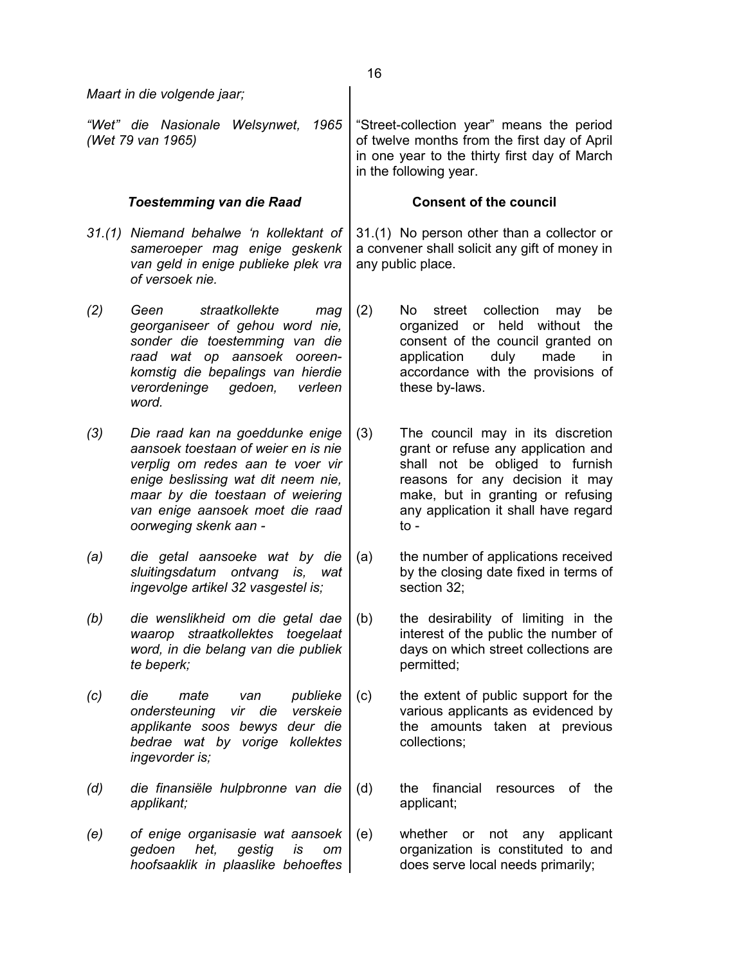|     | Maart in die volgende jaar;                                                                                                                                                                                                                      |                                                                                                                  |                                                                                                                                                                                                                                       |
|-----|--------------------------------------------------------------------------------------------------------------------------------------------------------------------------------------------------------------------------------------------------|------------------------------------------------------------------------------------------------------------------|---------------------------------------------------------------------------------------------------------------------------------------------------------------------------------------------------------------------------------------|
|     | "Wet" die Nasionale<br>Welsynwet,<br>1965<br>(Wet 79 van 1965)                                                                                                                                                                                   |                                                                                                                  | "Street-collection year" means the period<br>of twelve months from the first day of April<br>in one year to the thirty first day of March<br>in the following year.                                                                   |
|     | <b>Toestemming van die Raad</b>                                                                                                                                                                                                                  |                                                                                                                  | <b>Consent of the council</b>                                                                                                                                                                                                         |
|     | 31.(1) Niemand behalwe 'n kollektant of<br>sameroeper mag enige geskenk<br>van geld in enige publieke plek vra<br>of versoek nie.                                                                                                                | 31.(1) No person other than a collector or<br>a convener shall solicit any gift of money in<br>any public place. |                                                                                                                                                                                                                                       |
| (2) | Geen<br>straatkollekte<br>mag<br>georganiseer of gehou word nie,<br>sonder die toestemming van die<br>raad wat op aansoek ooreen-<br>komstig die bepalings van hierdie<br>verordeninge<br>gedoen,<br>verleen<br>word.                            | (2)                                                                                                              | collection<br>No l<br>street<br>be<br>may<br>held without<br>organized or<br>the<br>consent of the council granted on<br>application<br>duly<br>made<br>in.<br>accordance with the provisions of<br>these by-laws.                    |
| (3) | Die raad kan na goeddunke enige<br>aansoek toestaan of weier en is nie<br>verplig om redes aan te voer vir<br>enige beslissing wat dit neem nie,<br>maar by die toestaan of weiering<br>van enige aansoek moet die raad<br>oorweging skenk aan - | (3)                                                                                                              | The council may in its discretion<br>grant or refuse any application and<br>shall not be obliged to furnish<br>reasons for any decision it may<br>make, but in granting or refusing<br>any application it shall have regard<br>$to -$ |
| (a) | die getal aansoeke wat by die<br>sluitingsdatum ontvang is,<br>wat<br>ingevolge artikel 32 vasgestel is;                                                                                                                                         | (a)                                                                                                              | the number of applications received<br>by the closing date fixed in terms of<br>section 32;                                                                                                                                           |
| (b) | die wenslikheid om die getal dae<br>waarop straatkollektes toegelaat<br>word, in die belang van die publiek<br>te beperk;                                                                                                                        | (b)                                                                                                              | the desirability of limiting in the<br>interest of the public the number of<br>days on which street collections are<br>permitted;                                                                                                     |
| (c) | die<br>publieke<br>mate<br>van<br>vir die<br>verskeie<br>ondersteuning<br>applikante soos bewys deur die<br>bedrae wat by vorige kollektes<br>ingevorder is;                                                                                     | (c)                                                                                                              | the extent of public support for the<br>various applicants as evidenced by<br>the amounts taken at previous<br>collections;                                                                                                           |
| (d) | die finansiële hulpbronne van die<br>applikant;                                                                                                                                                                                                  | (d)                                                                                                              | the<br>financial<br>οf<br>the<br>resources<br>applicant;                                                                                                                                                                              |
| (e) | of enige organisasie wat aansoek<br>gedoen<br>het,<br>gestig<br>is<br>om<br>hoofsaaklik in plaaslike behoeftes                                                                                                                                   | (e)                                                                                                              | whether<br>not any<br>applicant<br>or<br>organization is constituted to and<br>does serve local needs primarily;                                                                                                                      |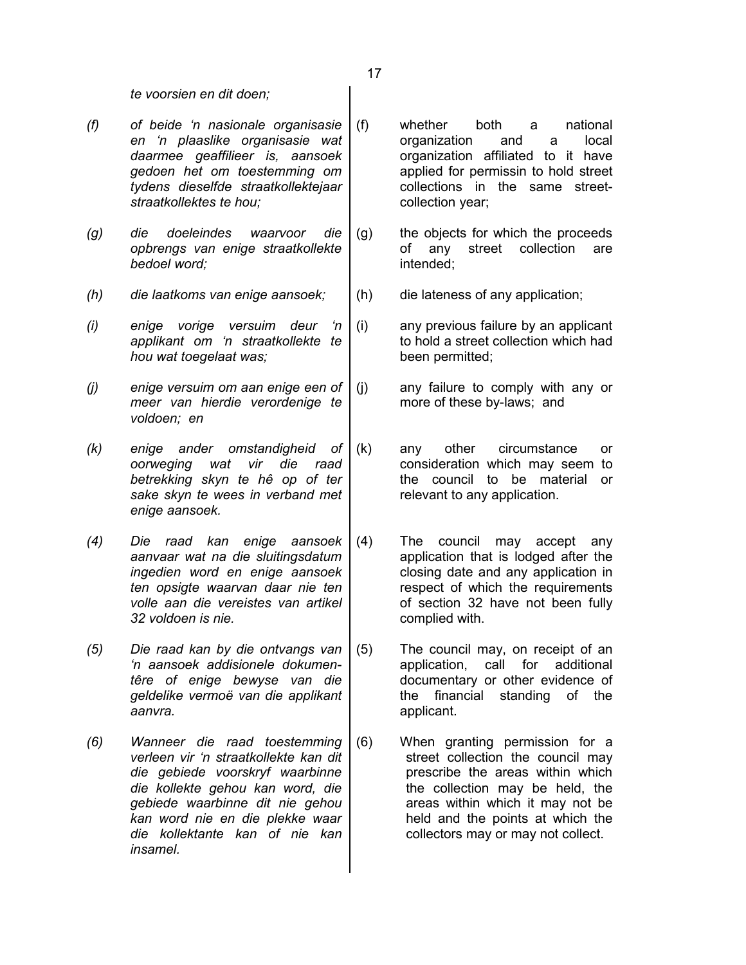*te voorsien en dit doen;*

- *(f) of beide 'n nasionale organisasie en 'n plaaslike organisasie wat daarmee geaffilieer is, aansoek gedoen het om toestemming om tydens dieselfde straatkollektejaar straatkollektes te hou;*
- *(g) die doeleindes waarvoor die opbrengs van enige straatkollekte bedoel word;*
- *(h) die laatkoms van enige aansoek;* (h) die lateness of any application;
- *(i) enige vorige versuim deur 'n applikant om 'n straatkollekte te hou wat toegelaat was;*
- *(j) enige versuim om aan enige een of meer van hierdie verordenige te voldoen; en*
- *(k) enige ander omstandigheid of oorweging wat vir die raad betrekking skyn te hê op of ter sake skyn te wees in verband met enige aansoek.*
- *(4) Die raad kan enige aansoek aanvaar wat na die sluitingsdatum ingedien word en enige aansoek ten opsigte waarvan daar nie ten volle aan die vereistes van artikel 32 voldoen is nie.*
- *(5) Die raad kan by die ontvangs van 'n aansoek addisionele dokumentêre of enige bewyse van die geldelike vermoë van die applikant aanvra.*
- *(6) Wanneer die raad toestemming verleen vir 'n straatkollekte kan dit die gebiede voorskryf waarbinne die kollekte gehou kan word, die gebiede waarbinne dit nie gehou kan word nie en die plekke waar die kollektante kan of nie kan insamel.*
- (f) whether both a national organization and a local organization affiliated to it have applied for permissin to hold street collections in the same streetcollection year;
- (g) the objects for which the proceeds of any street collection are intended;
	-

(i) any previous failure by an applicant to hold a street collection which had been permitted;

- (j) any failure to comply with any or more of these by-laws; and
- (k) any other circumstance or consideration which may seem to the council to be material or relevant to any application.
- (4) The council may accept any application that is lodged after the closing date and any application in respect of which the requirements of section 32 have not been fully complied with.
- (5) The council may, on receipt of an application, call for additional documentary or other evidence of the financial standing of the applicant.
- (6) When granting permission for a street collection the council may prescribe the areas within which the collection may be held, the areas within which it may not be held and the points at which the collectors may or may not collect.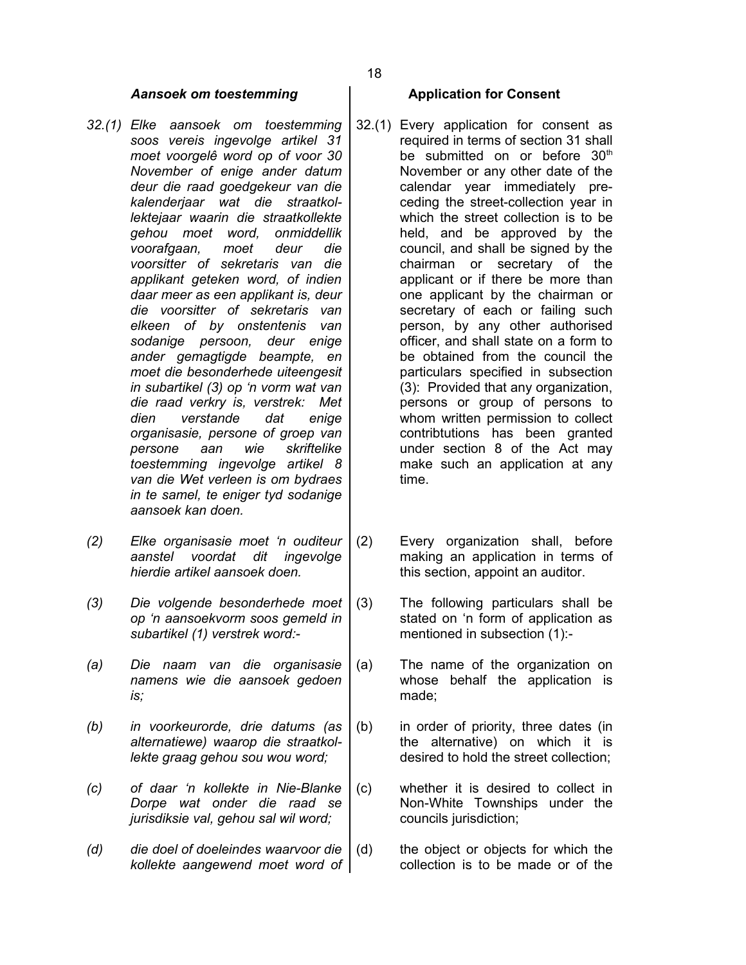### *Aansoek om toestemming* **Application for Consent**

- *32.(1) Elke aansoek om toestemming soos vereis ingevolge artikel 31 moet voorgelê word op of voor 30 November of enige ander datum deur die raad goedgekeur van die kalenderjaar wat die straatkollektejaar waarin die straatkollekte gehou moet word, onmiddellik voorafgaan, moet deur die voorsitter of sekretaris van die applikant geteken word, of indien daar meer as een applikant is, deur die voorsitter of sekretaris van elkeen of by onstentenis van sodanige persoon, deur enige ander gemagtigde beampte, en moet die besonderhede uiteengesit in subartikel (3) op 'n vorm wat van die raad verkry is, verstrek: Met dien verstande dat enige organisasie, persone of groep van persone aan wie skriftelike toestemming ingevolge artikel 8 van die Wet verleen is om bydraes in te samel, te eniger tyd sodanige aansoek kan doen.*
- *(2) Elke organisasie moet 'n ouditeur aanstel voordat dit ingevolge hierdie artikel aansoek doen.*
- *(3) Die volgende besonderhede moet op 'n aansoekvorm soos gemeld in subartikel (1) verstrek word:-*
- *(a) Die naam van die organisasie namens wie die aansoek gedoen is;*
- *(b) in voorkeurorde, drie datums (as alternatiewe) waarop die straatkollekte graag gehou sou wou word;*
- *(c) of daar 'n kollekte in Nie-Blanke Dorpe wat onder die raad se jurisdiksie val, gehou sal wil word;*
- *(d) die doel of doeleindes waarvoor die kollekte aangewend moet word of*

- 32.(1) Every application for consent as required in terms of section 31 shall be submitted on or before 30<sup>th</sup> November or any other date of the calendar year immediately preceding the street-collection year in which the street collection is to be held, and be approved by the council, and shall be signed by the chairman or secretary of the applicant or if there be more than one applicant by the chairman or secretary of each or failing such person, by any other authorised officer, and shall state on a form to be obtained from the council the particulars specified in subsection (3): Provided that any organization, persons or group of persons to whom written permission to collect contribtutions has been granted under section 8 of the Act may make such an application at any time.
- (2) Every organization shall, before making an application in terms of this section, appoint an auditor.
- (3) The following particulars shall be stated on 'n form of application as mentioned in subsection (1):-
- (a) The name of the organization on whose behalf the application is made;
- (b) in order of priority, three dates (in the alternative) on which it is desired to hold the street collection;
- (c) whether it is desired to collect in Non-White Townships under the councils jurisdiction;
- (d) the object or objects for which the collection is to be made or of the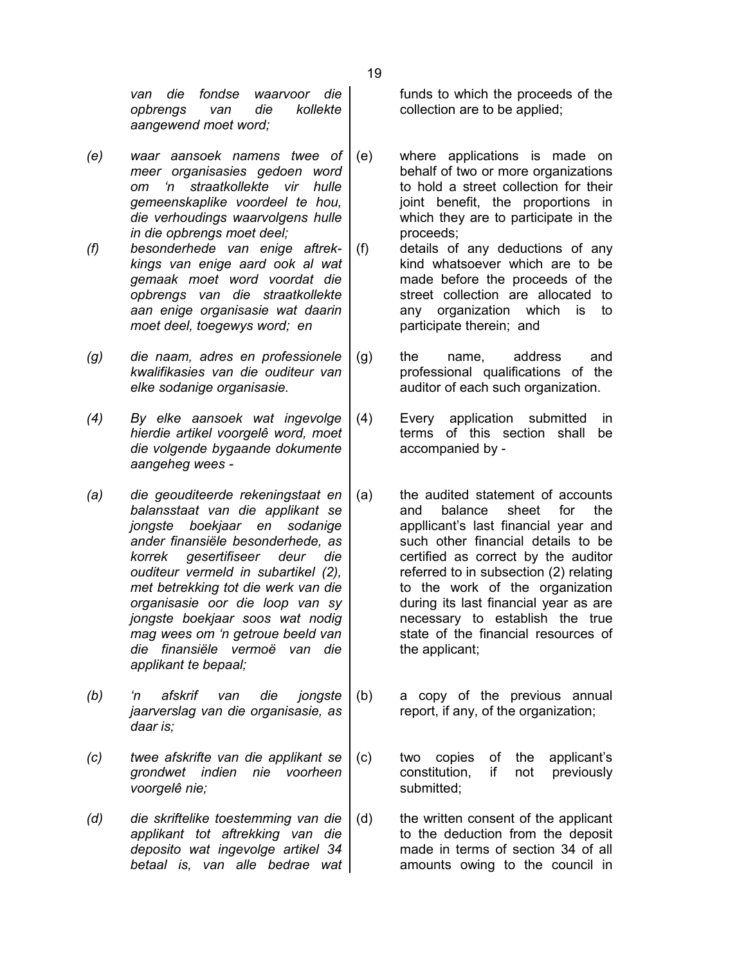*van die fondse waarvoor die opbrengs van die kollekte aangewend moet word;*

- *(e) waar aansoek namens twee of meer organisasies gedoen word om 'n straatkollekte vir hulle gemeenskaplike voordeel te hou, die verhoudings waarvolgens hulle in die opbrengs moet deel;*
- *(f) besonderhede van enige aftrekkings van enige aard ook al wat gemaak moet word voordat die opbrengs van die straatkollekte aan enige organisasie wat daarin moet deel, toegewys word; en*
- *(g) die naam, adres en professionele kwalifikasies van die ouditeur van elke sodanige organisasie.*
- *(4) By elke aansoek wat ingevolge hierdie artikel voorgelê word, moet die volgende bygaande dokumente aangeheg wees -*
- *(a) die geouditeerde rekeningstaat en balansstaat van die applikant se jongste boekjaar en sodanige ander finansiële besonderhede, as korrek gesertifiseer deur die ouditeur vermeld in subartikel (2), met betrekking tot die werk van die organisasie oor die loop van sy jongste boekjaar soos wat nodig mag wees om 'n getroue beeld van die finansiële vermoë van die applikant te bepaal;*
- *(b) 'n afskrif van die jongste jaarverslag van die organisasie, as daar is;*
- *(c) twee afskrifte van die applikant se grondwet indien nie voorheen voorgelê nie;*
- *(d) die skriftelike toestemming van die applikant tot aftrekking van die deposito wat ingevolge artikel 34 betaal is, van alle bedrae wat*

funds to which the proceeds of the collection are to be applied;

- (e) where applications is made on behalf of two or more organizations to hold a street collection for their joint benefit, the proportions in which they are to participate in the proceeds;
- (f) details of any deductions of any kind whatsoever which are to be made before the proceeds of the street collection are allocated to any organization which is to participate therein; and
- (g) the name, address and professional qualifications of the auditor of each such organization.
- (4) Every application submitted in terms of this section shall be accompanied by -
- (a) the audited statement of accounts and balance sheet for the appllicant's last financial year and such other financial details to be certified as correct by the auditor referred to in subsection (2) relating to the work of the organization during its last financial year as are necessary to establish the true state of the financial resources of the applicant;
- (b) a copy of the previous annual report, if any, of the organization;
- (c) two copies of the applicant's constitution, if not previously submitted;
- (d) the written consent of the applicant to the deduction from the deposit made in terms of section 34 of all amounts owing to the council in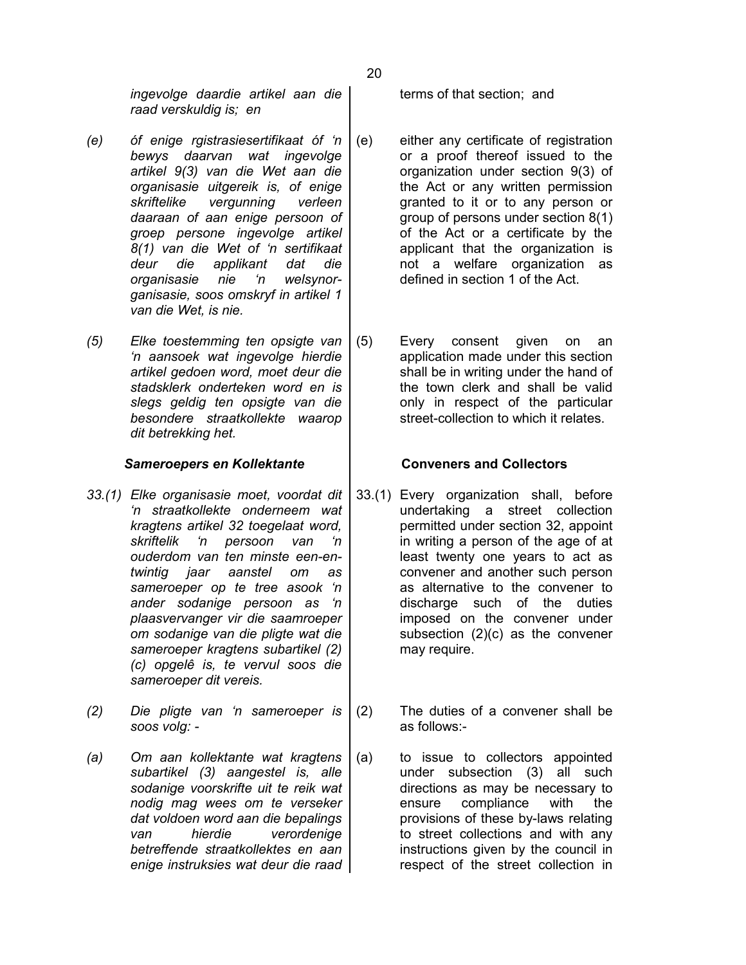*ingevolge daardie artikel aan die raad verskuldig is; en*

- *(e) óf enige rgistrasiesertifikaat óf 'n bewys daarvan wat ingevolge artikel 9(3) van die Wet aan die organisasie uitgereik is, of enige skriftelike vergunning verleen daaraan of aan enige persoon of groep persone ingevolge artikel 8(1) van die Wet of 'n sertifikaat deur die applikant dat die organisasie nie 'n welsynorganisasie, soos omskryf in artikel 1 van die Wet, is nie.*
- *(5) Elke toestemming ten opsigte van 'n aansoek wat ingevolge hierdie artikel gedoen word, moet deur die stadsklerk onderteken word en is slegs geldig ten opsigte van die besondere straatkollekte waarop dit betrekking het.*

### *Sameroepers en Kollektante* **Conveners and Collectors**

- *33.(1) Elke organisasie moet, voordat dit 'n straatkollekte onderneem wat kragtens artikel 32 toegelaat word, skriftelik 'n persoon van 'n ouderdom van ten minste een-entwintig jaar aanstel om as sameroeper op te tree asook 'n ander sodanige persoon as 'n plaasvervanger vir die saamroeper om sodanige van die pligte wat die sameroeper kragtens subartikel (2) (c) opgelê is, te vervul soos die sameroeper dit vereis.*
- *(2) Die pligte van 'n sameroeper is soos volg: -*
- *(a) Om aan kollektante wat kragtens subartikel (3) aangestel is, alle sodanige voorskrifte uit te reik wat nodig mag wees om te verseker dat voldoen word aan die bepalings van hierdie verordenige betreffende straatkollektes en aan enige instruksies wat deur die raad*

terms of that section; and

- (e) either any certificate of registration or a proof thereof issued to the organization under section 9(3) of the Act or any written permission granted to it or to any person or group of persons under section 8(1) of the Act or a certificate by the applicant that the organization is not a welfare organization as defined in section 1 of the Act.
- (5) Every consent given on an application made under this section shall be in writing under the hand of the town clerk and shall be valid only in respect of the particular street-collection to which it relates.

- 33.(1) Every organization shall, before undertaking a street collection permitted under section 32, appoint in writing a person of the age of at least twenty one years to act as convener and another such person as alternative to the convener to discharge such of the duties imposed on the convener under subsection (2)(c) as the convener may require.
- (2) The duties of a convener shall be as follows:-
- (a) to issue to collectors appointed under subsection (3) all such directions as may be necessary to ensure compliance with the provisions of these by-laws relating to street collections and with any instructions given by the council in respect of the street collection in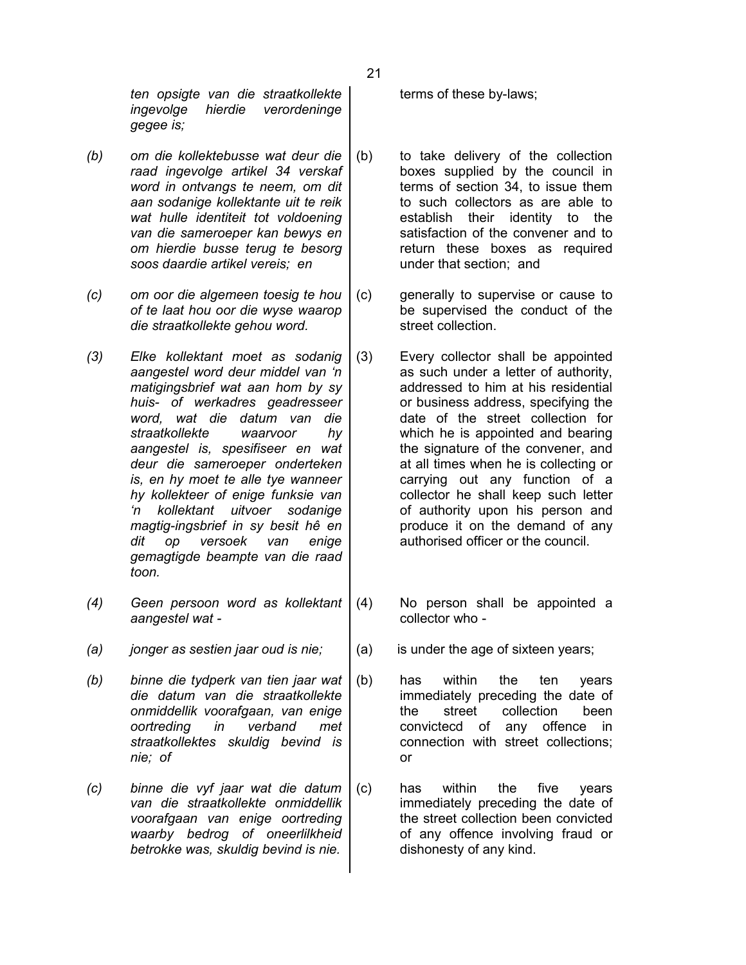*ten opsigte van die straatkollekte ingevolge hierdie verordeninge gegee is;*

- *(b) om die kollektebusse wat deur die raad ingevolge artikel 34 verskaf word in ontvangs te neem, om dit aan sodanige kollektante uit te reik wat hulle identiteit tot voldoening van die sameroeper kan bewys en om hierdie busse terug te besorg soos daardie artikel vereis; en*
- *(c) om oor die algemeen toesig te hou of te laat hou oor die wyse waarop die straatkollekte gehou word.*
- *(3) Elke kollektant moet as sodanig aangestel word deur middel van 'n matigingsbrief wat aan hom by sy huis- of werkadres geadresseer word, wat die datum van die straatkollekte waarvoor hy aangestel is, spesifiseer en wat deur die sameroeper onderteken is, en hy moet te alle tye wanneer hy kollekteer of enige funksie van 'n kollektant uitvoer sodanige magtig-ingsbrief in sy besit hê en dit op versoek van enige gemagtigde beampte van die raad toon.*
- *(4) Geen persoon word as kollektant aangestel wat -*
- (a) *jonger as sestien jaar oud is nie;*  $\vert$  (a) is under the age of sixteen years;
- *(b) binne die tydperk van tien jaar wat die datum van die straatkollekte onmiddellik voorafgaan, van enige oortreding in verband met straatkollektes skuldig bevind is nie; of*
- *(c) binne die vyf jaar wat die datum van die straatkollekte onmiddellik voorafgaan van enige oortreding waarby bedrog of oneerlilkheid betrokke was, skuldig bevind is nie.*

terms of these by-laws;

- (b) to take delivery of the collection boxes supplied by the council in terms of section 34, to issue them to such collectors as are able to establish their identity to the satisfaction of the convener and to return these boxes as required under that section; and
- (c) generally to supervise or cause to be supervised the conduct of the street collection.
- (3) Every collector shall be appointed as such under a letter of authority, addressed to him at his residential or business address, specifying the date of the street collection for which he is appointed and bearing the signature of the convener, and at all times when he is collecting or carrying out any function of a collector he shall keep such letter of authority upon his person and produce it on the demand of any authorised officer or the council.
- (4) No person shall be appointed a collector who -
	-
- (b) has within the ten years immediately preceding the date of the street collection been convictecd of any offence in connection with street collections; or
- (c) has within the five years immediately preceding the date of the street collection been convicted of any offence involving fraud or dishonesty of any kind.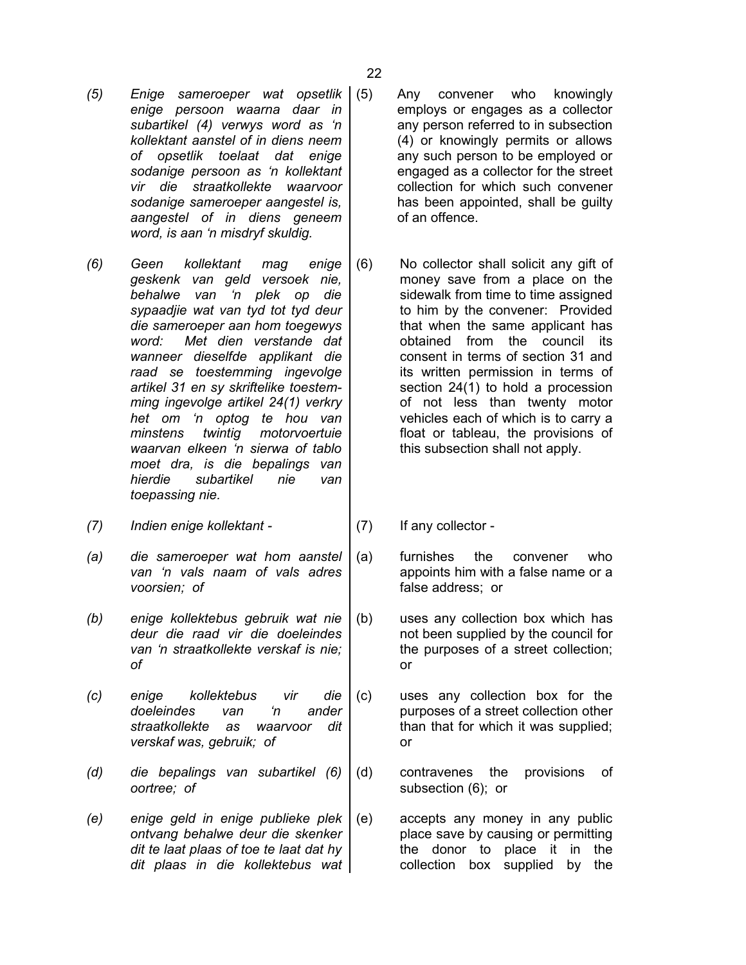- *(5) Enige sameroeper wat opsetlik enige persoon waarna daar in subartikel (4) verwys word as 'n kollektant aanstel of in diens neem of opsetlik toelaat dat enige sodanige persoon as 'n kollektant vir die straatkollekte waarvoor sodanige sameroeper aangestel is, aangestel of in diens geneem word, is aan 'n misdryf skuldig.*
- *(6) Geen kollektant mag enige geskenk van geld versoek nie, behalwe van 'n plek op die sypaadjie wat van tyd tot tyd deur die sameroeper aan hom toegewys word: Met dien verstande dat wanneer dieselfde applikant die raad se toestemming ingevolge artikel 31 en sy skriftelike toestemming ingevolge artikel 24(1) verkry het om 'n optog te hou van minstens twintig motorvoertuie waarvan elkeen 'n sierwa of tablo moet dra, is die bepalings van hierdie subartikel nie van toepassing nie.*
- *(7) Indien enige kollektant -* (7) If any collector -
- *(a) die sameroeper wat hom aanstel van 'n vals naam of vals adres voorsien; of*
- *(b) enige kollektebus gebruik wat nie deur die raad vir die doeleindes van 'n straatkollekte verskaf is nie; of*
- *(c) enige kollektebus vir die doeleindes van 'n ander straatkollekte as waarvoor dit verskaf was, gebruik; of*
- *(d) die bepalings van subartikel (6) oortree; of*
- *(e) enige geld in enige publieke plek ontvang behalwe deur die skenker dit te laat plaas of toe te laat dat hy dit plaas in die kollektebus wat*
- Any convener who knowingly employs or engages as a collector any person referred to in subsection (4) or knowingly permits or allows any such person to be employed or engaged as a collector for the street collection for which such convener has been appointed, shall be guilty of an offence.
- (6) No collector shall solicit any gift of money save from a place on the sidewalk from time to time assigned to him by the convener: Provided that when the same applicant has obtained from the council its consent in terms of section 31 and its written permission in terms of section 24(1) to hold a procession of not less than twenty motor vehicles each of which is to carry a float or tableau, the provisions of this subsection shall not apply.
	-
- (a) furnishes the convener who appoints him with a false name or a false address; or
- (b) uses any collection box which has not been supplied by the council for the purposes of a street collection; or
- (c) uses any collection box for the purposes of a street collection other than that for which it was supplied; or
- (d) contravenes the provisions of subsection (6); or
- (e) accepts any money in any public place save by causing or permitting the donor to place it in the collection box supplied by the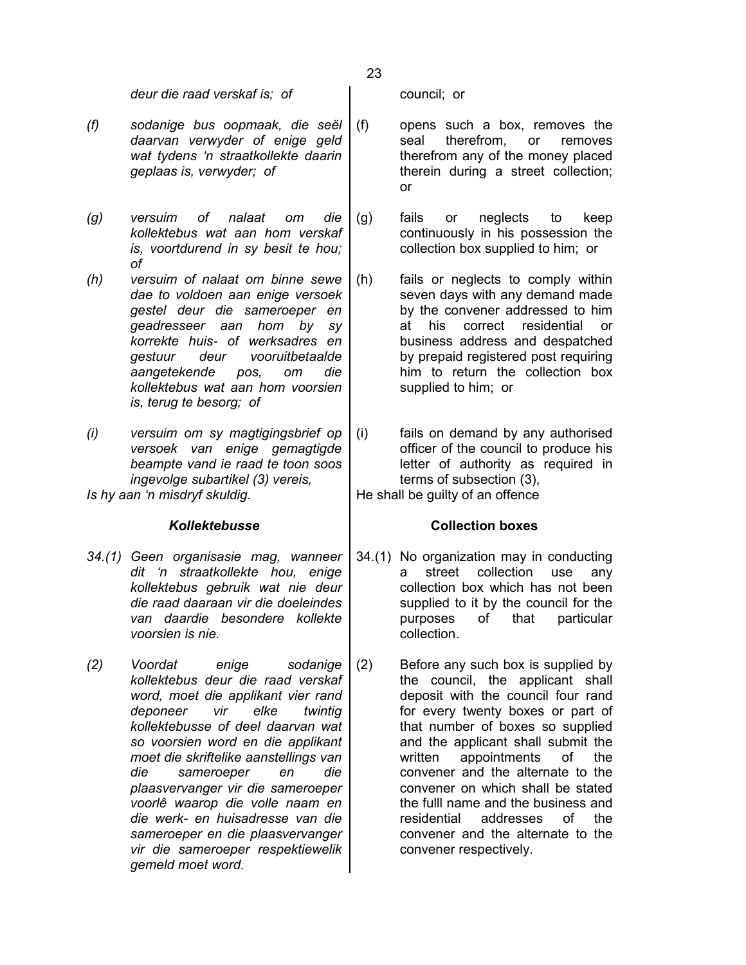*deur die raad verskaf is; of*  $\qquad$  | council; or

- *(f) sodanige bus oopmaak, die seël daarvan verwyder of enige geld wat tydens 'n straatkollekte daarin geplaas is, verwyder; of*
- *(g) versuim of nalaat om die kollektebus wat aan hom verskaf is, voortdurend in sy besit te hou; of*
- *(h) versuim of nalaat om binne sewe dae to voldoen aan enige versoek gestel deur die sameroeper en geadresseer aan hom by sy korrekte huis- of werksadres en gestuur deur vooruitbetaalde aangetekende pos, om die kollektebus wat aan hom voorsien is, terug te besorg; of*
- *(i) versuim om sy magtigingsbrief op versoek van enige gemagtigde beampte vand ie raad te toon soos ingevolge subartikel (3) vereis, Is hy aan 'n misdryf skuldig.*  $|$ He shall be guilty of an offence

- *34.(1) Geen organisasie mag, wanneer dit 'n straatkollekte hou, enige kollektebus gebruik wat nie deur die raad daaraan vir die doeleindes van daardie besondere kollekte voorsien is nie.*
- *(2) Voordat enige sodanige kollektebus deur die raad verskaf word, moet die applikant vier rand deponeer vir elke twintig kollektebusse of deel daarvan wat so voorsien word en die applikant moet die skriftelike aanstellings van die sameroeper en die plaasvervanger vir die sameroeper voorlê waarop die volle naam en die werk- en huisadresse van die sameroeper en die plaasvervanger vir die sameroeper respektiewelik gemeld moet word.*

- (f) opens such a box, removes the seal therefrom, or removes therefrom any of the money placed therein during a street collection; or
- (g) fails or neglects to keep continuously in his possession the collection box supplied to him; or
- (h) fails or neglects to comply within seven days with any demand made by the convener addressed to him at his correct residential or business address and despatched by prepaid registered post requiring him to return the collection box supplied to him; or
- (i) fails on demand by any authorised officer of the council to produce his letter of authority as required in terms of subsection (3),

# *Kollektebusse* **Collection boxes**

- 34.(1) No organization may in conducting a street collection use any collection box which has not been supplied to it by the council for the purposes of that particular collection.
- (2) Before any such box is supplied by the council, the applicant shall deposit with the council four rand for every twenty boxes or part of that number of boxes so supplied and the applicant shall submit the written appointments of the convener and the alternate to the convener on which shall be stated the fulll name and the business and residential addresses of the convener and the alternate to the convener respectively.

23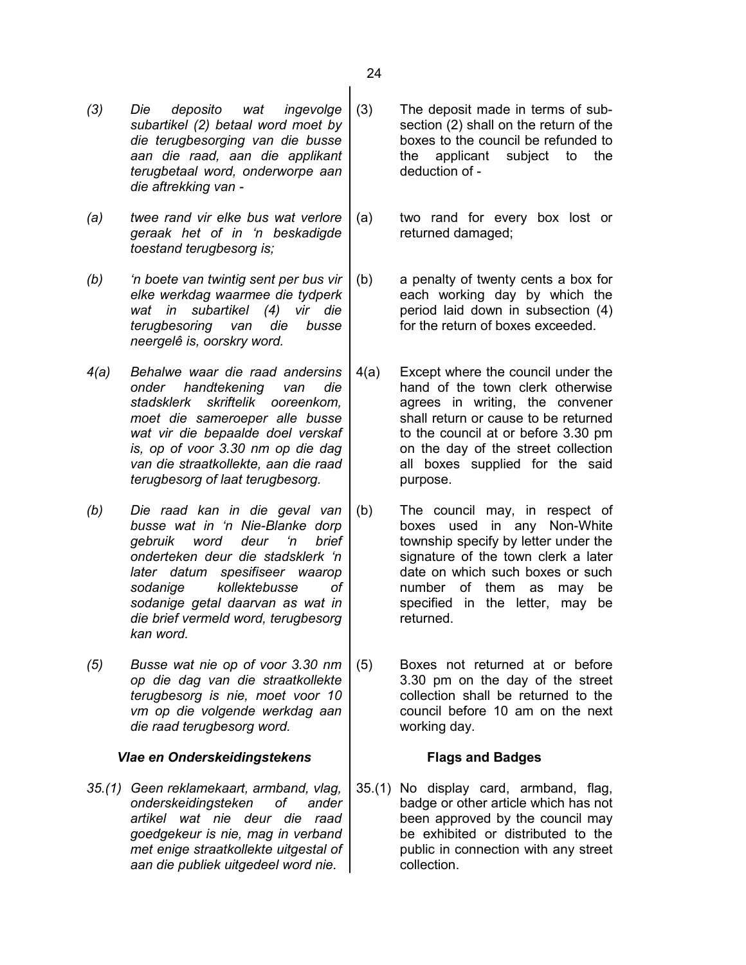- *(3) Die deposito wat ingevolge subartikel (2) betaal word moet by die terugbesorging van die busse aan die raad, aan die applikant terugbetaal word, onderworpe aan die aftrekking van -*
- *(a) twee rand vir elke bus wat verlore geraak het of in 'n beskadigde toestand terugbesorg is;*
- *(b) 'n boete van twintig sent per bus vir elke werkdag waarmee die tydperk wat in subartikel (4) vir die terugbesoring van die busse neergelê is, oorskry word.*
- *4(a) Behalwe waar die raad andersins onder handtekening van die stadsklerk skriftelik ooreenkom, moet die sameroeper alle busse wat vir die bepaalde doel verskaf is, op of voor 3.30 nm op die dag van die straatkollekte, aan die raad terugbesorg of laat terugbesorg.*
- *(b) Die raad kan in die geval van busse wat in 'n Nie-Blanke dorp gebruik word deur 'n brief onderteken deur die stadsklerk 'n later datum spesifiseer waarop sodanige kollektebusse of sodanige getal daarvan as wat in die brief vermeld word, terugbesorg kan word.*
- *(5) Busse wat nie op of voor 3.30 nm op die dag van die straatkollekte terugbesorg is nie, moet voor 10 vm op die volgende werkdag aan die raad terugbesorg word.*

### *Vlae en Onderskeidingstekens* **Flags and Badges**

*35.(1) Geen reklamekaart, armband, vlag, onderskeidingsteken of ander artikel wat nie deur die raad goedgekeur is nie, mag in verband met enige straatkollekte uitgestal of aan die publiek uitgedeel word nie.*

- (3) The deposit made in terms of subsection (2) shall on the return of the boxes to the council be refunded to the applicant subject to the deduction of -
- (a) two rand for every box lost or returned damaged;
- (b) a penalty of twenty cents a box for each working day by which the period laid down in subsection (4) for the return of boxes exceeded.
- 4(a) Except where the council under the hand of the town clerk otherwise agrees in writing, the convener shall return or cause to be returned to the council at or before 3.30 pm on the day of the street collection all boxes supplied for the said purpose.
- (b) The council may, in respect of boxes used in any Non-White township specify by letter under the signature of the town clerk a later date on which such boxes or such number of them as may be specified in the letter, may be returned.
- (5) Boxes not returned at or before 3.30 pm on the day of the street collection shall be returned to the council before 10 am on the next working day.

35.(1) No display card, armband, flag, badge or other article which has not been approved by the council may be exhibited or distributed to the public in connection with any street collection.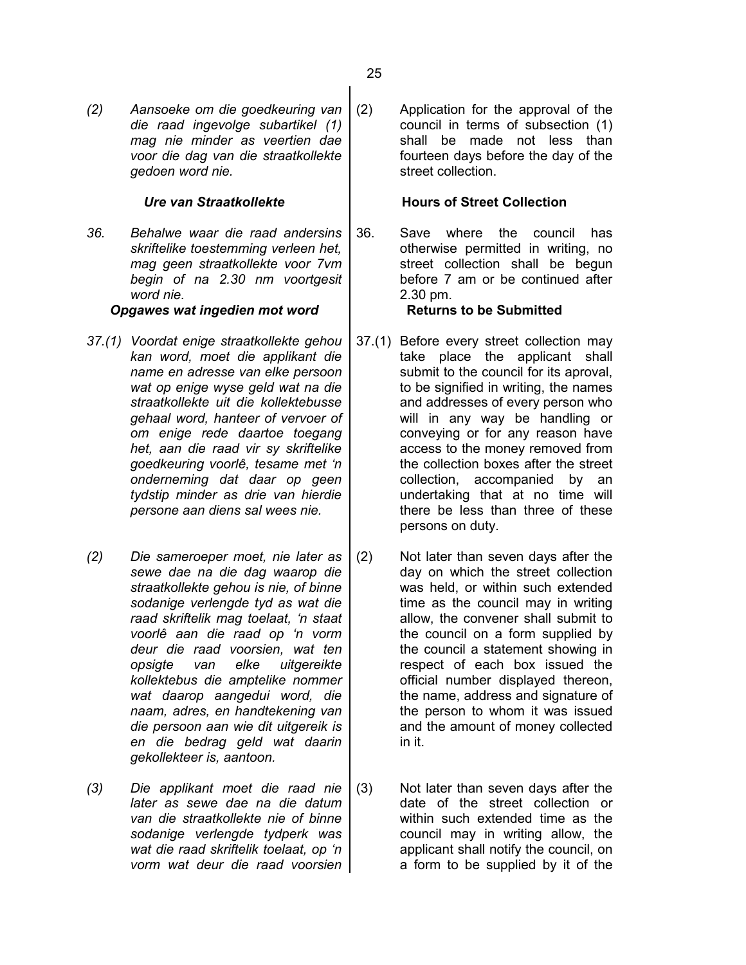*(2) Aansoeke om die goedkeuring van die raad ingevolge subartikel (1) mag nie minder as veertien dae voor die dag van die straatkollekte gedoen word nie.*

*36. Behalwe waar die raad andersins skriftelike toestemming verleen het, mag geen straatkollekte voor 7vm begin of na 2.30 nm voortgesit word nie.*

# **Opgawes wat ingedien mot word Returns to be Submitted**

- *37.(1) Voordat enige straatkollekte gehou kan word, moet die applikant die name en adresse van elke persoon wat op enige wyse geld wat na die straatkollekte uit die kollektebusse gehaal word, hanteer of vervoer of om enige rede daartoe toegang het, aan die raad vir sy skriftelike goedkeuring voorlê, tesame met 'n onderneming dat daar op geen tydstip minder as drie van hierdie persone aan diens sal wees nie.*
- *(2) Die sameroeper moet, nie later as sewe dae na die dag waarop die straatkollekte gehou is nie, of binne sodanige verlengde tyd as wat die raad skriftelik mag toelaat, 'n staat voorlê aan die raad op 'n vorm deur die raad voorsien, wat ten opsigte van elke uitgereikte kollektebus die amptelike nommer wat daarop aangedui word, die naam, adres, en handtekening van die persoon aan wie dit uitgereik is en die bedrag geld wat daarin gekollekteer is, aantoon.*
- *(3) Die applikant moet die raad nie later as sewe dae na die datum van die straatkollekte nie of binne sodanige verlengde tydperk was wat die raad skriftelik toelaat, op 'n vorm wat deur die raad voorsien*

(2) Application for the approval of the council in terms of subsection (1) shall be made not less than fourteen days before the day of the street collection.

# *Ure van Straatkollekte* **Hours of Street Collection**

36. Save where the council has otherwise permitted in writing, no street collection shall be begun before 7 am or be continued after 2.30 pm.

- 37.(1) Before every street collection may take place the applicant shall submit to the council for its aproval, to be signified in writing, the names and addresses of every person who will in any way be handling or conveying or for any reason have access to the money removed from the collection boxes after the street collection, accompanied by an undertaking that at no time will there be less than three of these persons on duty.
- (2) Not later than seven days after the day on which the street collection was held, or within such extended time as the council may in writing allow, the convener shall submit to the council on a form supplied by the council a statement showing in respect of each box issued the official number displayed thereon, the name, address and signature of the person to whom it was issued and the amount of money collected in it.
- (3) Not later than seven days after the date of the street collection or within such extended time as the council may in writing allow, the applicant shall notify the council, on a form to be supplied by it of the